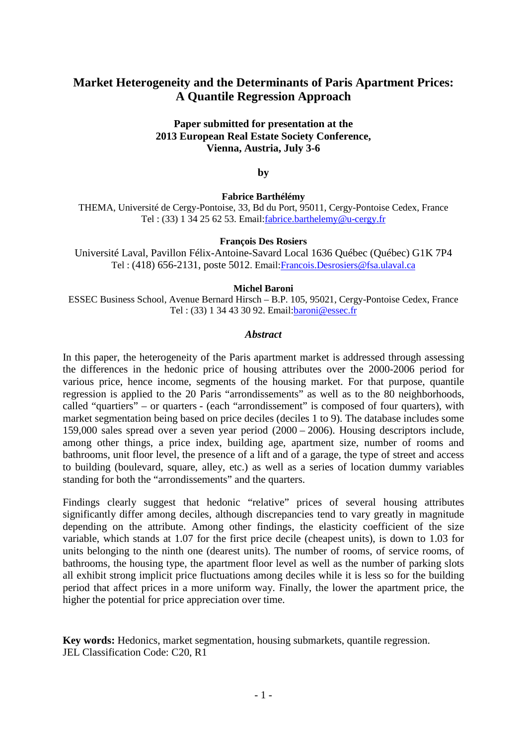# **Market Heterogeneity and the Determinants of Paris Apartment Prices: A Quantile Regression Approach**

### **Paper submitted for presentation at the 2013 European Real Estate Society Conference, Vienna, Austria, July 3-6**

**by**

**Fabrice Barthélémy**

THEMA, Université de Cergy-Pontoise, 33, Bd du Port, 95011, Cergy-Pontoise Cedex, France Tel : (33) 1 34 25 62 53. Email:fabrice.barthelemy@u-cergy.fr

#### **François Des Rosiers**

Université Laval, Pavillon Félix-Antoine-Savard Local 1636 Québec (Québec) G1K 7P4 Tel : (418) 656-2131, poste 5012. Email[:Francois.Desrosiers@fsa.ulaval.ca](mailto:Francois.Desrosiers@fsa.ulaval.ca)

#### **Michel Baroni**

ESSEC Business School, Avenue Bernard Hirsch – B.P. 105, 95021, Cergy-Pontoise Cedex, France Tel : (33) 1 34 43 30 92. Email:baroni@essec.fr

### *Abstract*

In this paper, the heterogeneity of the Paris apartment market is addressed through assessing the differences in the hedonic price of housing attributes over the 2000-2006 period for various price, hence income, segments of the housing market. For that purpose, quantile regression is applied to the 20 Paris "arrondissements" as well as to the 80 neighborhoods, called "quartiers" – or quarters - (each "arrondissement" is composed of four quarters), with market segmentation being based on price deciles (deciles 1 to 9). The database includes some 159,000 sales spread over a seven year period (2000 – 2006). Housing descriptors include, among other things, a price index, building age, apartment size, number of rooms and bathrooms, unit floor level, the presence of a lift and of a garage, the type of street and access to building (boulevard, square, alley, etc.) as well as a series of location dummy variables standing for both the "arrondissements" and the quarters.

Findings clearly suggest that hedonic "relative" prices of several housing attributes significantly differ among deciles, although discrepancies tend to vary greatly in magnitude depending on the attribute. Among other findings, the elasticity coefficient of the size variable, which stands at 1.07 for the first price decile (cheapest units), is down to 1.03 for units belonging to the ninth one (dearest units). The number of rooms, of service rooms, of bathrooms, the housing type, the apartment floor level as well as the number of parking slots all exhibit strong implicit price fluctuations among deciles while it is less so for the building period that affect prices in a more uniform way. Finally, the lower the apartment price, the higher the potential for price appreciation over time.

**Key words:** Hedonics, market segmentation, housing submarkets, quantile regression. JEL Classification Code: C20, R1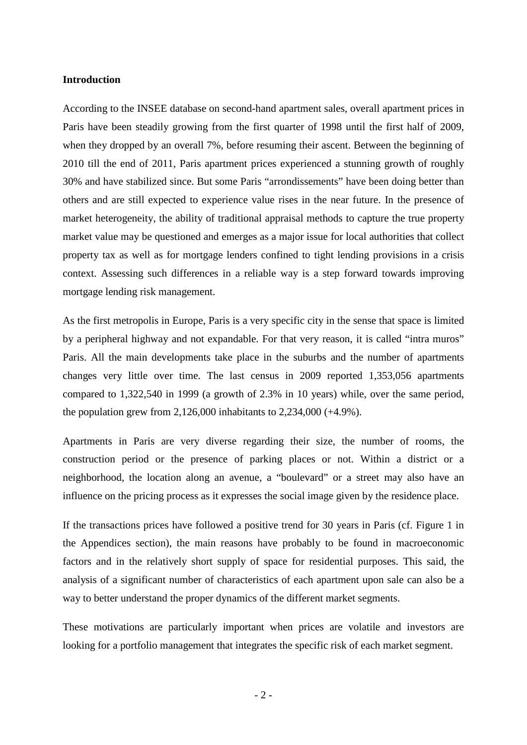### **Introduction**

According to the INSEE database on second-hand apartment sales, overall apartment prices in Paris have been steadily growing from the first quarter of 1998 until the first half of 2009, when they dropped by an overall 7%, before resuming their ascent. Between the beginning of 2010 till the end of 2011, Paris apartment prices experienced a stunning growth of roughly 30% and have stabilized since. But some Paris "arrondissements" have been doing better than others and are still expected to experience value rises in the near future. In the presence of market heterogeneity, the ability of traditional appraisal methods to capture the true property market value may be questioned and emerges as a major issue for local authorities that collect property tax as well as for mortgage lenders confined to tight lending provisions in a crisis context. Assessing such differences in a reliable way is a step forward towards improving mortgage lending risk management.

As the first metropolis in Europe, Paris is a very specific city in the sense that space is limited by a peripheral highway and not expandable. For that very reason, it is called "intra muros" Paris. All the main developments take place in the suburbs and the number of apartments changes very little over time. The last census in 2009 reported 1,353,056 apartments compared to 1,322,540 in 1999 (a growth of 2.3% in 10 years) while, over the same period, the population grew from 2,126,000 inhabitants to 2,234,000 (+4.9%).

Apartments in Paris are very diverse regarding their size, the number of rooms, the construction period or the presence of parking places or not. Within a district or a neighborhood, the location along an avenue, a "boulevard" or a street may also have an influence on the pricing process as it expresses the social image given by the residence place.

If the transactions prices have followed a positive trend for 30 years in Paris (cf. Figure 1 in the Appendices section), the main reasons have probably to be found in macroeconomic factors and in the relatively short supply of space for residential purposes. This said, the analysis of a significant number of characteristics of each apartment upon sale can also be a way to better understand the proper dynamics of the different market segments.

These motivations are particularly important when prices are volatile and investors are looking for a portfolio management that integrates the specific risk of each market segment.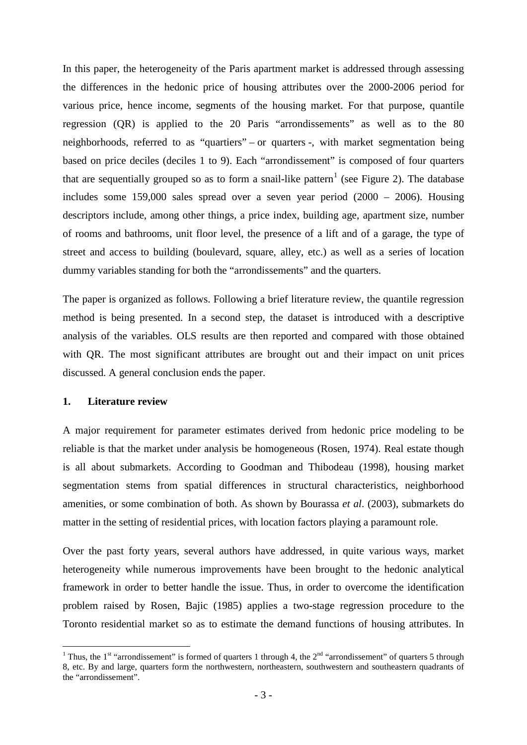In this paper, the heterogeneity of the Paris apartment market is addressed through assessing the differences in the hedonic price of housing attributes over the 2000-2006 period for various price, hence income, segments of the housing market. For that purpose, quantile regression (QR) is applied to the 20 Paris "arrondissements" as well as to the 80 neighborhoods, referred to as "quartiers" – or quarters -, with market segmentation being based on price deciles (deciles 1 to 9). Each "arrondissement" is composed of four quarters that are sequentially grouped so as to form a snail-like pattern<sup>[1](#page-2-0)</sup> (see Figure 2). The database includes some 159,000 sales spread over a seven year period (2000 – 2006). Housing descriptors include, among other things, a price index, building age, apartment size, number of rooms and bathrooms, unit floor level, the presence of a lift and of a garage, the type of street and access to building (boulevard, square, alley, etc.) as well as a series of location dummy variables standing for both the "arrondissements" and the quarters.

The paper is organized as follows. Following a brief literature review, the quantile regression method is being presented. In a second step, the dataset is introduced with a descriptive analysis of the variables. OLS results are then reported and compared with those obtained with QR. The most significant attributes are brought out and their impact on unit prices discussed. A general conclusion ends the paper.

### **1. Literature review**

A major requirement for parameter estimates derived from hedonic price modeling to be reliable is that the market under analysis be homogeneous (Rosen, 1974). Real estate though is all about submarkets. According to Goodman and Thibodeau (1998), housing market segmentation stems from spatial differences in structural characteristics, neighborhood amenities, or some combination of both. As shown by Bourassa *et al*. (2003), submarkets do matter in the setting of residential prices, with location factors playing a paramount role.

Over the past forty years, several authors have addressed, in quite various ways, market heterogeneity while numerous improvements have been brought to the hedonic analytical framework in order to better handle the issue. Thus, in order to overcome the identification problem raised by Rosen, Bajic (1985) applies a two-stage regression procedure to the Toronto residential market so as to estimate the demand functions of housing attributes. In

<span id="page-2-0"></span><sup>&</sup>lt;sup>1</sup> Thus, the 1<sup>st</sup> "arrondissement" is formed of quarters 1 through 4, the  $2<sup>nd</sup>$  "arrondissement" of quarters 5 through 8, etc. By and large, quarters form the northwestern, northeastern, southwestern and southeastern quadrants of the "arrondissement". -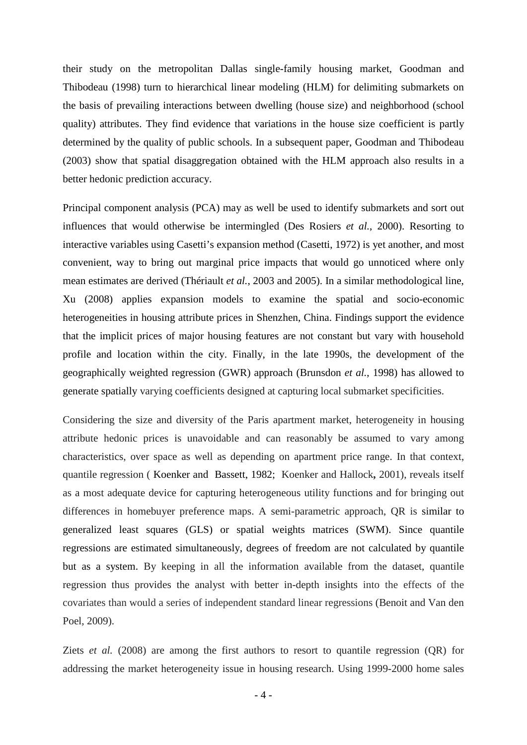their study on the metropolitan Dallas single-family housing market, Goodman and Thibodeau (1998) turn to hierarchical linear modeling (HLM) for delimiting submarkets on the basis of prevailing interactions between dwelling (house size) and neighborhood (school quality) attributes. They find evidence that variations in the house size coefficient is partly determined by the quality of public schools. In a subsequent paper, Goodman and Thibodeau (2003) show that spatial disaggregation obtained with the HLM approach also results in a better hedonic prediction accuracy.

Principal component analysis (PCA) may as well be used to identify submarkets and sort out influences that would otherwise be intermingled (Des Rosiers *et al.*, 2000). Resorting to interactive variables using Casetti's expansion method (Casetti, 1972) is yet another, and most convenient, way to bring out marginal price impacts that would go unnoticed where only mean estimates are derived (Thériault *et al.*, 2003 and 2005). In a similar methodological line, Xu (2008) applies expansion models to examine the spatial and socio-economic heterogeneities in housing attribute prices in Shenzhen, China. Findings support the evidence that the implicit prices of major housing features are not constant but vary with household profile and location within the city. Finally, in the late 1990s, the development of the geographically weighted regression (GWR) approach (Brunsdon *et al.*, 1998) has allowed to generate spatially varying coefficients designed at capturing local submarket specificities.

Considering the size and diversity of the Paris apartment market, heterogeneity in housing attribute hedonic prices is unavoidable and can reasonably be assumed to vary among characteristics, over space as well as depending on apartment price range. In that context, quantile regression ( Koenker and Bassett, 1982; Koenker and Hallock**,** 2001), reveals itself as a most adequate device for capturing heterogeneous utility functions and for bringing out differences in homebuyer preference maps. A semi-parametric approach, QR is similar to generalized least squares (GLS) or spatial weights matrices (SWM). Since quantile regressions are estimated simultaneously, degrees of freedom are not calculated by quantile but as a system. By keeping in all the information available from the dataset, quantile regression thus provides the analyst with better in-depth insights into the effects of the covariates than would a series of independent standard linear regressions (Benoit and Van den Poel, 2009).

Ziets *et al.* (2008) are among the first authors to resort to quantile regression (QR) for addressing the market heterogeneity issue in housing research. Using 1999-2000 home sales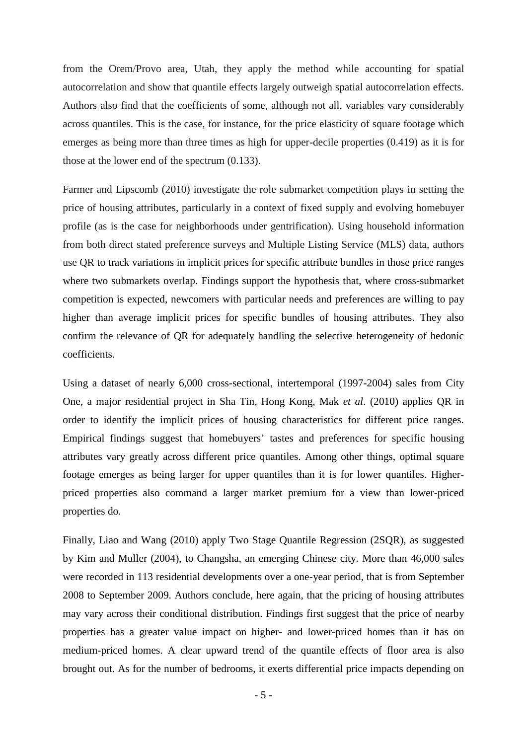from the Orem/Provo area, Utah, they apply the method while accounting for spatial autocorrelation and show that quantile effects largely outweigh spatial autocorrelation effects. Authors also find that the coefficients of some, although not all, variables vary considerably across quantiles. This is the case, for instance, for the price elasticity of square footage which emerges as being more than three times as high for upper-decile properties (0.419) as it is for those at the lower end of the spectrum (0.133).

Farmer and Lipscomb (2010) investigate the role submarket competition plays in setting the price of housing attributes, particularly in a context of fixed supply and evolving homebuyer profile (as is the case for neighborhoods under gentrification). Using household information from both direct stated preference surveys and Multiple Listing Service (MLS) data, authors use QR to track variations in implicit prices for specific attribute bundles in those price ranges where two submarkets overlap. Findings support the hypothesis that, where cross-submarket competition is expected, newcomers with particular needs and preferences are willing to pay higher than average implicit prices for specific bundles of housing attributes. They also confirm the relevance of QR for adequately handling the selective heterogeneity of hedonic coefficients.

Using a dataset of nearly 6,000 cross-sectional, intertemporal (1997-2004) sales from City One, a major residential project in Sha Tin, Hong Kong, Mak *et al*. (2010) applies QR in order to identify the implicit prices of housing characteristics for different price ranges. Empirical findings suggest that homebuyers' tastes and preferences for specific housing attributes vary greatly across different price quantiles. Among other things, optimal square footage emerges as being larger for upper quantiles than it is for lower quantiles. Higherpriced properties also command a larger market premium for a view than lower-priced properties do.

Finally, Liao and Wang (2010) apply Two Stage Quantile Regression (2SQR), as suggested by Kim and Muller (2004), to Changsha, an emerging Chinese city. More than 46,000 sales were recorded in 113 residential developments over a one-year period, that is from September 2008 to September 2009. Authors conclude, here again, that the pricing of housing attributes may vary across their conditional distribution. Findings first suggest that the price of nearby properties has a greater value impact on higher- and lower-priced homes than it has on medium-priced homes. A clear upward trend of the quantile effects of floor area is also brought out. As for the number of bedrooms, it exerts differential price impacts depending on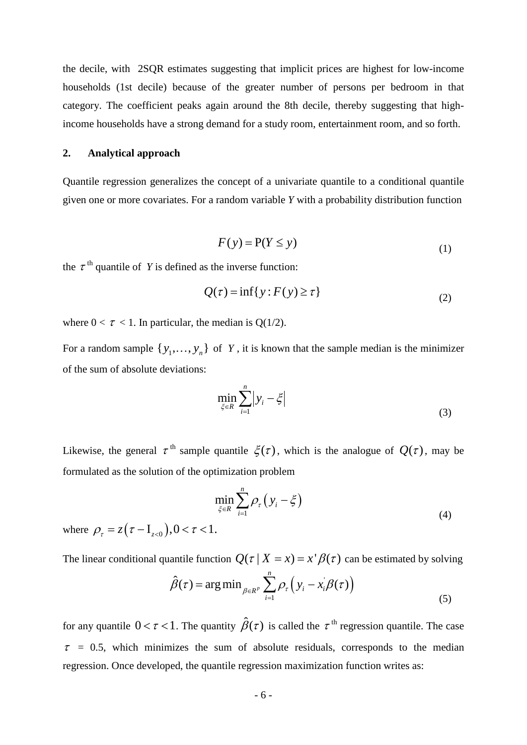the decile, with 2SQR estimates suggesting that implicit prices are highest for low-income households (1st decile) because of the greater number of persons per bedroom in that category. The coefficient peaks again around the 8th decile, thereby suggesting that highincome households have a strong demand for a study room, entertainment room, and so forth.

### **2. Analytical approach**

Quantile regression generalizes the concept of a univariate quantile to a conditional quantile given one or more covariates. For a random variable *Y* with a probability distribution function

$$
F(y) = P(Y \le y)
$$
\n<sup>(1)</sup>

the  $\tau$ <sup>th</sup> quantile of *Y* is defined as the inverse function:

$$
Q(\tau) = \inf\{y : F(y) \ge \tau\}
$$
\n<sup>(2)</sup>

where  $0 < \tau < 1$ . In particular, the median is Q(1/2).

For a random sample  $\{y_1, \ldots, y_n\}$  of Y, it is known that the sample median is the minimizer of the sum of absolute deviations:

$$
\min_{\xi \in R} \sum_{i=1}^{n} \left| y_i - \xi \right| \tag{3}
$$

Likewise, the general  $\tau^{\text{th}}$  sample quantile  $\mathcal{E}(\tau)$ , which is the analogue of  $O(\tau)$ , may be formulated as the solution of the optimization problem

$$
\min_{\xi \in R} \sum_{i=1}^{n} \rho_{\tau} \left( y_i - \xi \right) \tag{4}
$$

where  $\rho_{\tau} = z(\tau - I_{z<0}), 0 < \tau < 1.$ 

The linear conditional quantile function  $Q(\tau | X = x) = x' \beta(\tau)$  can be estimated by solving

$$
\hat{\beta}(\tau) = \arg\min_{\beta \in R^p} \sum_{i=1}^n \rho_{\tau} \left( y_i - x_i \beta(\tau) \right)
$$
\n(5)

for any quantile  $0 < \tau < 1$ . The quantity  $\hat{\beta}(\tau)$  is called the  $\tau^{\text{th}}$  regression quantile. The case  $\tau$  = 0.5, which minimizes the sum of absolute residuals, corresponds to the median regression. Once developed, the quantile regression maximization function writes as: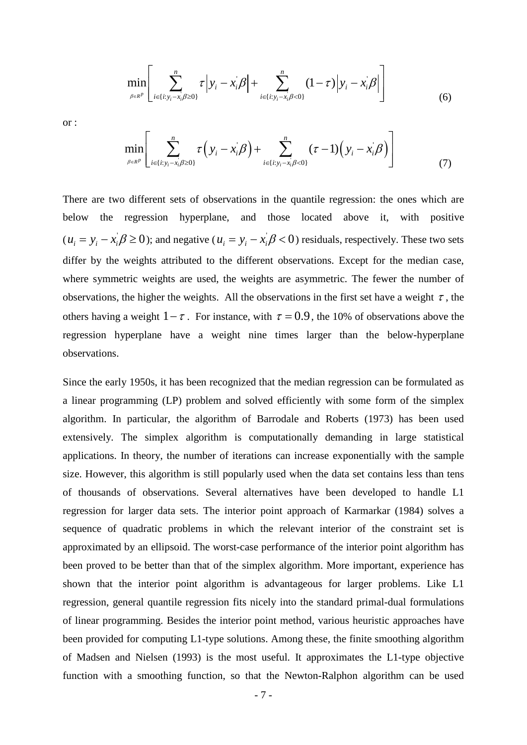$$
\min_{\beta \in R^p} \left[ \sum_{i \in \{i: y_i - x_i/\beta \ge 0\}}^n \tau \left| y_i - x_i/\beta \right| + \sum_{i \in \{i: y_i - x_i/\beta < 0\}}^n (1 - \tau) \left| y_i - x_i/\beta \right| \right] \tag{6}
$$

or :

$$
\min_{\beta \in R^p} \left[ \sum_{i \in \{i: y_i - x_i/\beta \ge 0\}}^n \tau \left( y_i - x_i/\beta \right) + \sum_{i \in \{i: y_i - x_i/\beta < 0\}}^n (\tau - 1) \left( y_i - x_i/\beta \right) \right] \tag{7}
$$

There are two different sets of observations in the quantile regression: the ones which are below the regression hyperplane, and those located above it, with positive  $(u_i = y_i - x_i \beta \ge 0)$ ; and negative  $(u_i = y_i - x_i \beta < 0)$  residuals, respectively. These two sets differ by the weights attributed to the different observations. Except for the median case, where symmetric weights are used, the weights are asymmetric. The fewer the number of observations, the higher the weights. All the observations in the first set have a weight  $\tau$ , the others having a weight  $1-\tau$ . For instance, with  $\tau = 0.9$ , the 10% of observations above the regression hyperplane have a weight nine times larger than the below-hyperplane observations.

Since the early 1950s, it has been recognized that the median regression can be formulated as a linear programming (LP) problem and solved efficiently with some form of the simplex algorithm. In particular, the algorithm of Barrodale and Roberts (1973) has been used extensively. The simplex algorithm is computationally demanding in large statistical applications. In theory, the number of iterations can increase exponentially with the sample size. However, this algorithm is still popularly used when the data set contains less than tens of thousands of observations. Several alternatives have been developed to handle L1 regression for larger data sets. The interior point approach of Karmarkar (1984) solves a sequence of quadratic problems in which the relevant interior of the constraint set is approximated by an ellipsoid. The worst-case performance of the interior point algorithm has been proved to be better than that of the simplex algorithm. More important, experience has shown that the interior point algorithm is advantageous for larger problems. Like L1 regression, general quantile regression fits nicely into the standard primal-dual formulations of linear programming. Besides the interior point method, various heuristic approaches have been provided for computing L1-type solutions. Among these, the finite smoothing algorithm of Madsen and Nielsen (1993) is the most useful. It approximates the L1-type objective function with a smoothing function, so that the Newton-Ralphon algorithm can be used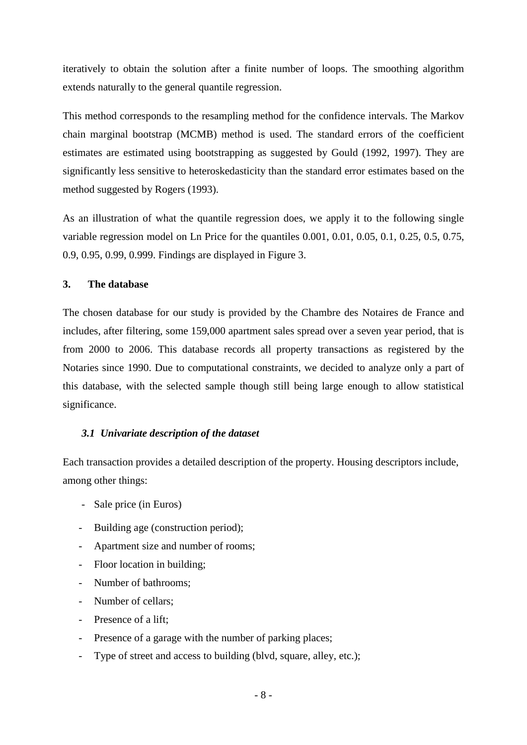iteratively to obtain the solution after a finite number of loops. The smoothing algorithm extends naturally to the general quantile regression.

This method corresponds to the resampling method for the confidence intervals. The Markov chain marginal bootstrap (MCMB) method is used. The standard errors of the coefficient estimates are estimated using bootstrapping as suggested by Gould (1992, 1997). They are significantly less sensitive to heteroskedasticity than the standard error estimates based on the method suggested by Rogers (1993).

As an illustration of what the quantile regression does, we apply it to the following single variable regression model on Ln Price for the quantiles 0.001, 0.01, 0.05, 0.1, 0.25, 0.5, 0.75, 0.9, 0.95, 0.99, 0.999. Findings are displayed in Figure 3.

### **3. The database**

The chosen database for our study is provided by the Chambre des Notaires de France and includes, after filtering, some 159,000 apartment sales spread over a seven year period, that is from 2000 to 2006. This database records all property transactions as registered by the Notaries since 1990. Due to computational constraints, we decided to analyze only a part of this database, with the selected sample though still being large enough to allow statistical significance.

### *3.1 Univariate description of the dataset*

Each transaction provides a detailed description of the property. Housing descriptors include, among other things:

- Sale price (in Euros)
- Building age (construction period);
- Apartment size and number of rooms;
- Floor location in building;
- Number of bathrooms;
- Number of cellars;
- Presence of a lift;
- Presence of a garage with the number of parking places;
- Type of street and access to building (blvd, square, alley, etc.);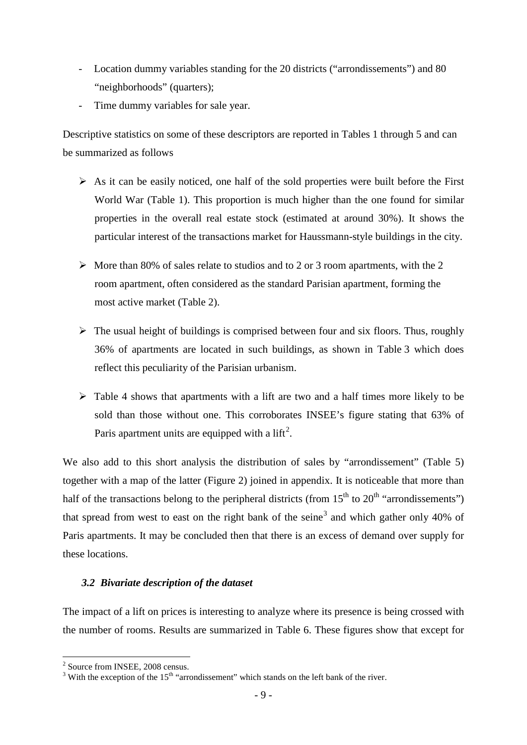- Location dummy variables standing for the 20 districts ("arrondissements") and 80 "neighborhoods" (quarters);
- Time dummy variables for sale year.

Descriptive statistics on some of these descriptors are reported in Tables 1 through 5 and can be summarized as follows

- $\triangleright$  As it can be easily noticed, one half of the sold properties were built before the First World War (Table 1). This proportion is much higher than the one found for similar properties in the overall real estate stock (estimated at around 30%). It shows the particular interest of the transactions market for Haussmann-style buildings in the city.
- $\triangleright$  More than 80% of sales relate to studios and to 2 or 3 room apartments, with the 2 room apartment, often considered as the standard Parisian apartment, forming the most active market (Table 2).
- $\triangleright$  The usual height of buildings is comprised between four and six floors. Thus, roughly 36% of apartments are located in such buildings, as shown in Table 3 which does reflect this peculiarity of the Parisian urbanism.
- $\triangleright$  Table 4 shows that apartments with a lift are two and a half times more likely to be sold than those without one. This corroborates INSEE's figure stating that 63% of Paris apartment units are equipped with a lift<sup>[2](#page-8-0)</sup>.

We also add to this short analysis the distribution of sales by "arrondissement" (Table 5) together with a map of the latter (Figure 2) joined in appendix. It is noticeable that more than half of the transactions belong to the peripheral districts (from  $15<sup>th</sup>$  to  $20<sup>th</sup>$  "arrondissements") that spread from west to east on the right bank of the seine<sup>[3](#page-8-1)</sup> and which gather only 40% of Paris apartments. It may be concluded then that there is an excess of demand over supply for these locations.

### *3.2 Bivariate description of the dataset*

The impact of a lift on prices is interesting to analyze where its presence is being crossed with the number of rooms. Results are summarized in Table 6. These figures show that except for

<u>.</u>

<span id="page-8-0"></span><sup>2</sup> Source from INSEE, 2008 census.

<span id="page-8-1"></span><sup>&</sup>lt;sup>3</sup> With the exception of the  $15<sup>th</sup>$  "arrondissement" which stands on the left bank of the river.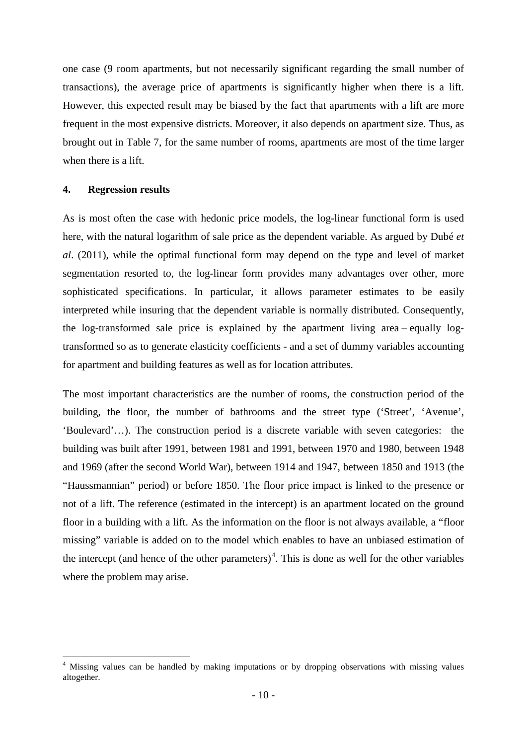one case (9 room apartments, but not necessarily significant regarding the small number of transactions), the average price of apartments is significantly higher when there is a lift. However, this expected result may be biased by the fact that apartments with a lift are more frequent in the most expensive districts. Moreover, it also depends on apartment size. Thus, as brought out in Table 7, for the same number of rooms, apartments are most of the time larger when there is a lift.

### **4. Regression results**

<u>.</u>

As is most often the case with hedonic price models, the log-linear functional form is used here, with the natural logarithm of sale price as the dependent variable. As argued by Dubé *et al*. (2011), while the optimal functional form may depend on the type and level of market segmentation resorted to, the log-linear form provides many advantages over other, more sophisticated specifications. In particular, it allows parameter estimates to be easily interpreted while insuring that the dependent variable is normally distributed. Consequently, the log-transformed sale price is explained by the apartment living area – equally logtransformed so as to generate elasticity coefficients - and a set of dummy variables accounting for apartment and building features as well as for location attributes.

The most important characteristics are the number of rooms, the construction period of the building, the floor, the number of bathrooms and the street type ('Street', 'Avenue', 'Boulevard'…). The construction period is a discrete variable with seven categories: the building was built after 1991, between 1981 and 1991, between 1970 and 1980, between 1948 and 1969 (after the second World War), between 1914 and 1947, between 1850 and 1913 (the "Haussmannian" period) or before 1850. The floor price impact is linked to the presence or not of a lift. The reference (estimated in the intercept) is an apartment located on the ground floor in a building with a lift. As the information on the floor is not always available, a "floor missing" variable is added on to the model which enables to have an unbiased estimation of the intercept (and hence of the other parameters)<sup>[4](#page-9-0)</sup>. This is done as well for the other variables where the problem may arise.

<span id="page-9-0"></span><sup>&</sup>lt;sup>4</sup> Missing values can be handled by making imputations or by dropping observations with missing values altogether.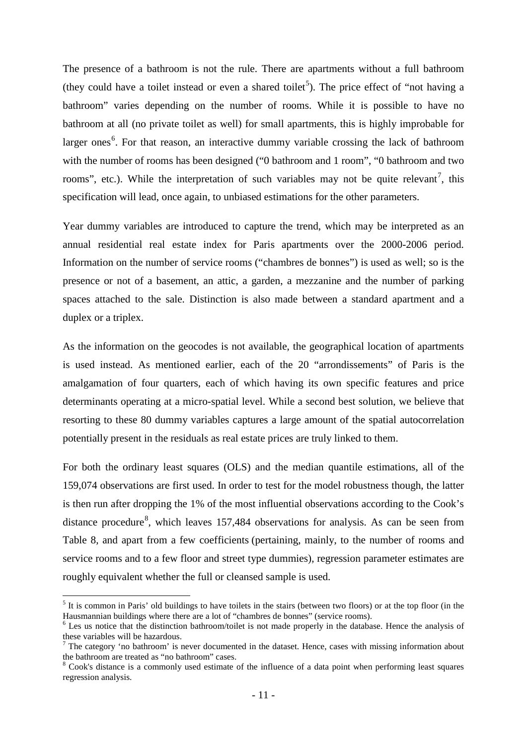The presence of a bathroom is not the rule. There are apartments without a full bathroom (they could have a toilet instead or even a shared toilet<sup>[5](#page-10-0)</sup>). The price effect of "not having a bathroom" varies depending on the number of rooms. While it is possible to have no bathroom at all (no private toilet as well) for small apartments, this is highly improbable for larger ones<sup>[6](#page-10-1)</sup>. For that reason, an interactive dummy variable crossing the lack of bathroom with the number of rooms has been designed ("0 bathroom and 1 room", "0 bathroom and two rooms", etc.). While the interpretation of such variables may not be quite relevant<sup>[7](#page-10-2)</sup>, this specification will lead, once again, to unbiased estimations for the other parameters.

Year dummy variables are introduced to capture the trend, which may be interpreted as an annual residential real estate index for Paris apartments over the 2000-2006 period. Information on the number of service rooms ("chambres de bonnes") is used as well; so is the presence or not of a basement, an attic, a garden, a mezzanine and the number of parking spaces attached to the sale. Distinction is also made between a standard apartment and a duplex or a triplex.

As the information on the geocodes is not available, the geographical location of apartments is used instead. As mentioned earlier, each of the 20 "arrondissements" of Paris is the amalgamation of four quarters, each of which having its own specific features and price determinants operating at a micro-spatial level. While a second best solution, we believe that resorting to these 80 dummy variables captures a large amount of the spatial autocorrelation potentially present in the residuals as real estate prices are truly linked to them.

For both the ordinary least squares (OLS) and the median quantile estimations, all of the 159,074 observations are first used. In order to test for the model robustness though, the latter is then run after dropping the 1% of the most influential observations according to the Cook's distance procedure<sup>[8](#page-10-3)</sup>, which leaves 157,484 observations for analysis. As can be seen from Table 8, and apart from a few coefficients (pertaining, mainly, to the number of rooms and service rooms and to a few floor and street type dummies), regression parameter estimates are roughly equivalent whether the full or cleansed sample is used.

<u>.</u>

<span id="page-10-0"></span> $<sup>5</sup>$  It is common in Paris' old buildings to have toilets in the stairs (between two floors) or at the top floor (in the Hausmannian buildings where there are a lot of "chambres de bonnes" (service rooms).</sup>

<span id="page-10-1"></span> $6$  Les us notice that the distinction bathroom/toilet is not made properly in the database. Hence the analysis of these variables will be hazardous.

<span id="page-10-2"></span><sup>7</sup> The category 'no bathroom' is never documented in the dataset. Hence, cases with missing information about the bathroom are treated as "no bathroom" cases.

<span id="page-10-3"></span><sup>8</sup> Cook's distance is a commonly used estimate of the influence of a data point when performing least squares regression analysis.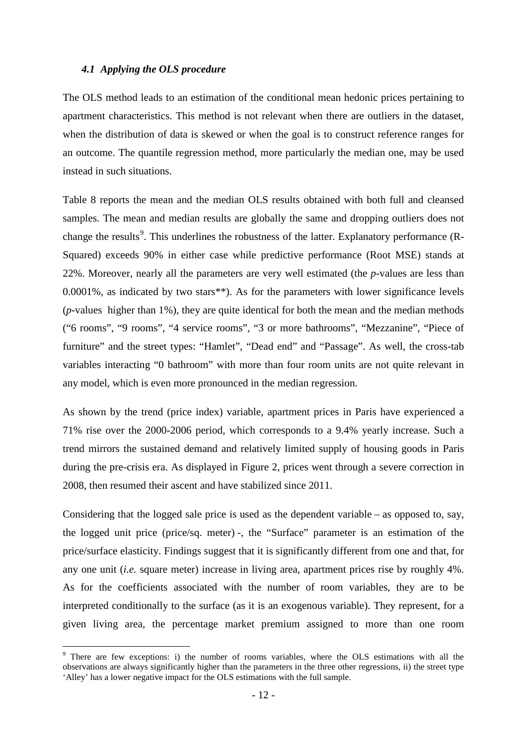### *4.1 Applying the OLS procedure*

The OLS method leads to an estimation of the conditional mean hedonic prices pertaining to apartment characteristics. This method is not relevant when there are outliers in the dataset, when the distribution of data is skewed or when the goal is to construct reference ranges for an outcome. The quantile regression method, more particularly the median one, may be used instead in such situations.

Table 8 reports the mean and the median OLS results obtained with both full and cleansed samples. The mean and median results are globally the same and dropping outliers does not change the results<sup>[9](#page-11-0)</sup>. This underlines the robustness of the latter. Explanatory performance (R-Squared) exceeds 90% in either case while predictive performance (Root MSE) stands at 22%. Moreover, nearly all the parameters are very well estimated (the *p*-values are less than 0.0001%, as indicated by two stars\*\*). As for the parameters with lower significance levels (*p*-values higher than 1%), they are quite identical for both the mean and the median methods ("6 rooms", "9 rooms", "4 service rooms", "3 or more bathrooms", "Mezzanine", "Piece of furniture" and the street types: "Hamlet", "Dead end" and "Passage". As well, the cross-tab variables interacting "0 bathroom" with more than four room units are not quite relevant in any model, which is even more pronounced in the median regression.

As shown by the trend (price index) variable, apartment prices in Paris have experienced a 71% rise over the 2000-2006 period, which corresponds to a 9.4% yearly increase. Such a trend mirrors the sustained demand and relatively limited supply of housing goods in Paris during the pre-crisis era. As displayed in Figure 2, prices went through a severe correction in 2008, then resumed their ascent and have stabilized since 2011.

Considering that the logged sale price is used as the dependent variable – as opposed to, say, the logged unit price (price/sq. meter) -, the "Surface" parameter is an estimation of the price/surface elasticity. Findings suggest that it is significantly different from one and that, for any one unit (*i.e.* square meter) increase in living area, apartment prices rise by roughly 4%. As for the coefficients associated with the number of room variables, they are to be interpreted conditionally to the surface (as it is an exogenous variable). They represent, for a given living area, the percentage market premium assigned to more than one room

-

<span id="page-11-0"></span><sup>&</sup>lt;sup>9</sup> There are few exceptions: i) the number of rooms variables, where the OLS estimations with all the observations are always significantly higher than the parameters in the three other regressions, ii) the street type 'Alley' has a lower negative impact for the OLS estimations with the full sample.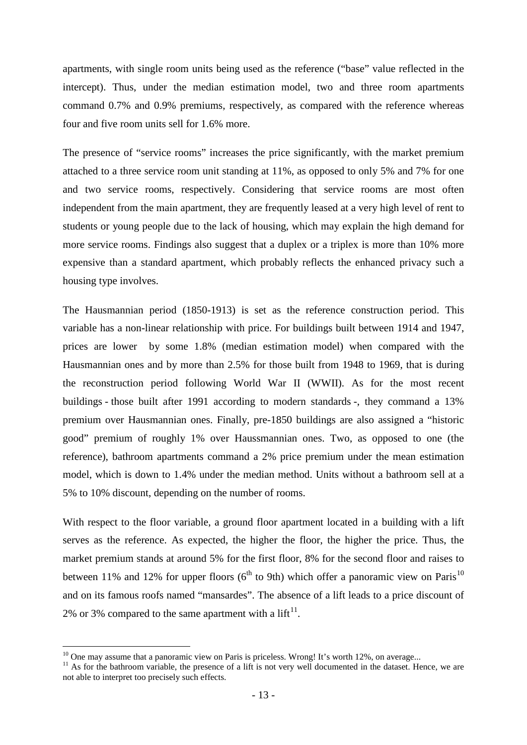apartments, with single room units being used as the reference ("base" value reflected in the intercept). Thus, under the median estimation model, two and three room apartments command 0.7% and 0.9% premiums, respectively, as compared with the reference whereas four and five room units sell for 1.6% more.

The presence of "service rooms" increases the price significantly, with the market premium attached to a three service room unit standing at 11%, as opposed to only 5% and 7% for one and two service rooms, respectively. Considering that service rooms are most often independent from the main apartment, they are frequently leased at a very high level of rent to students or young people due to the lack of housing, which may explain the high demand for more service rooms. Findings also suggest that a duplex or a triplex is more than 10% more expensive than a standard apartment, which probably reflects the enhanced privacy such a housing type involves.

The Hausmannian period (1850-1913) is set as the reference construction period. This variable has a non-linear relationship with price. For buildings built between 1914 and 1947, prices are lower by some 1.8% (median estimation model) when compared with the Hausmannian ones and by more than 2.5% for those built from 1948 to 1969, that is during the reconstruction period following World War II (WWII). As for the most recent buildings - those built after 1991 according to modern standards -, they command a 13% premium over Hausmannian ones. Finally, pre-1850 buildings are also assigned a "historic good" premium of roughly 1% over Haussmannian ones. Two, as opposed to one (the reference), bathroom apartments command a 2% price premium under the mean estimation model, which is down to 1.4% under the median method. Units without a bathroom sell at a 5% to 10% discount, depending on the number of rooms.

With respect to the floor variable, a ground floor apartment located in a building with a lift serves as the reference. As expected, the higher the floor, the higher the price. Thus, the market premium stands at around 5% for the first floor, 8% for the second floor and raises to between 11% and 12% for upper floors ( $6<sup>th</sup>$  to 9th) which offer a panoramic view on Paris<sup>[10](#page-12-0)</sup> and on its famous roofs named "mansardes". The absence of a lift leads to a price discount of 2% or 3% compared to the same apartment with a  $\text{lift}^{11}$  $\text{lift}^{11}$  $\text{lift}^{11}$ .

<span id="page-12-0"></span> $10$  One may assume that a panoramic view on Paris is priceless. Wrong! It's worth 12%, on average...

<span id="page-12-1"></span> $11$  As for the bathroom variable, the presence of a lift is not very well documented in the dataset. Hence, we are not able to interpret too precisely such effects.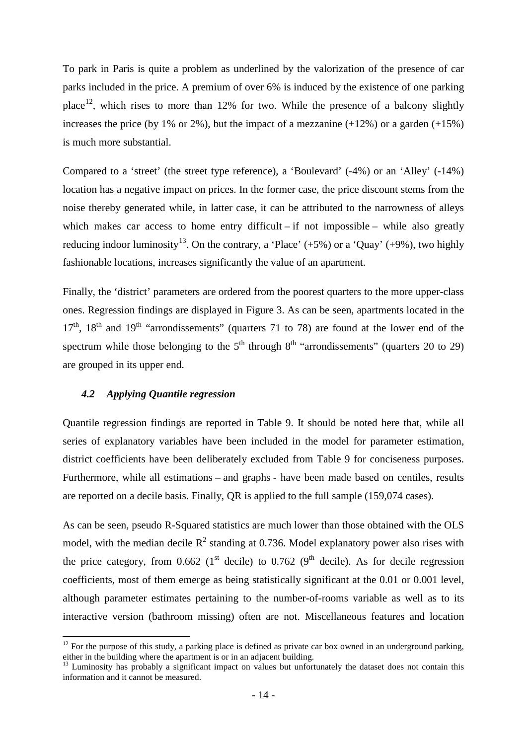To park in Paris is quite a problem as underlined by the valorization of the presence of car parks included in the price. A premium of over 6% is induced by the existence of one parking place<sup>12</sup>, which rises to more than 12% for two. While the presence of a balcony slightly increases the price (by 1% or 2%), but the impact of a mezzanine  $(+12%)$  or a garden  $(+15%)$ is much more substantial.

Compared to a 'street' (the street type reference), a 'Boulevard' (-4%) or an 'Alley' (-14%) location has a negative impact on prices. In the former case, the price discount stems from the noise thereby generated while, in latter case, it can be attributed to the narrowness of alleys which makes car access to home entry difficult – if not impossible – while also greatly reducing indoor luminosity<sup>[13](#page-13-1)</sup>. On the contrary, a 'Place' (+5%) or a 'Quay' (+9%), two highly fashionable locations, increases significantly the value of an apartment.

Finally, the 'district' parameters are ordered from the poorest quarters to the more upper-class ones. Regression findings are displayed in Figure 3. As can be seen, apartments located in the  $17<sup>th</sup>$ ,  $18<sup>th</sup>$  and  $19<sup>th</sup>$  "arrondissements" (quarters 71 to 78) are found at the lower end of the spectrum while those belonging to the  $5<sup>th</sup>$  through  $8<sup>th</sup>$  "arrondissements" (quarters 20 to 29) are grouped in its upper end.

### *4.2 Applying Quantile regression*

<u>.</u>

Quantile regression findings are reported in Table 9. It should be noted here that, while all series of explanatory variables have been included in the model for parameter estimation, district coefficients have been deliberately excluded from Table 9 for conciseness purposes. Furthermore, while all estimations – and graphs - have been made based on centiles, results are reported on a decile basis. Finally, QR is applied to the full sample (159,074 cases).

As can be seen, pseudo R-Squared statistics are much lower than those obtained with the OLS model, with the median decile  $R^2$  standing at 0.736. Model explanatory power also rises with the price category, from 0.662 (1<sup>st</sup> decile) to 0.762 (9<sup>th</sup> decile). As for decile regression coefficients, most of them emerge as being statistically significant at the 0.01 or 0.001 level, although parameter estimates pertaining to the number-of-rooms variable as well as to its interactive version (bathroom missing) often are not. Miscellaneous features and location

<span id="page-13-0"></span> $12$  For the purpose of this study, a parking place is defined as private car box owned in an underground parking, either in the building where the apartment is or in an adjacent building.

<span id="page-13-1"></span><sup>&</sup>lt;sup>13</sup> Luminosity has probably a significant impact on values but unfortunately the dataset does not contain this information and it cannot be measured.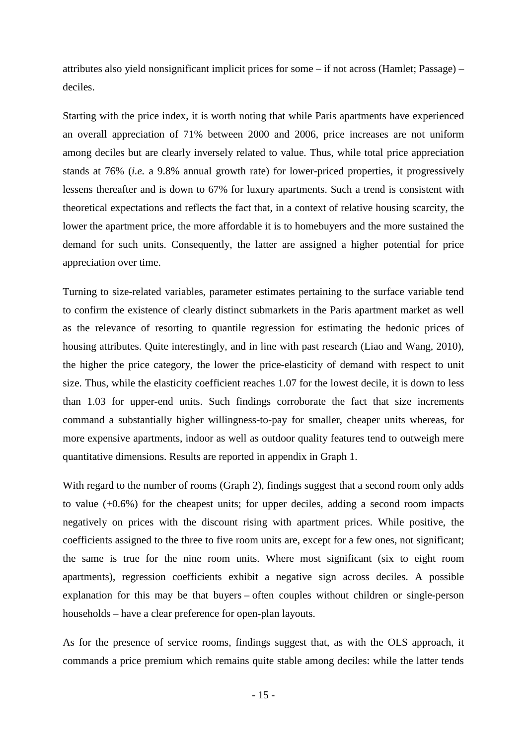attributes also yield nonsignificant implicit prices for some – if not across (Hamlet; Passage) – deciles.

Starting with the price index, it is worth noting that while Paris apartments have experienced an overall appreciation of 71% between 2000 and 2006, price increases are not uniform among deciles but are clearly inversely related to value. Thus, while total price appreciation stands at 76% (*i.e.* a 9.8% annual growth rate) for lower-priced properties, it progressively lessens thereafter and is down to 67% for luxury apartments. Such a trend is consistent with theoretical expectations and reflects the fact that, in a context of relative housing scarcity, the lower the apartment price, the more affordable it is to homebuyers and the more sustained the demand for such units. Consequently, the latter are assigned a higher potential for price appreciation over time.

Turning to size-related variables, parameter estimates pertaining to the surface variable tend to confirm the existence of clearly distinct submarkets in the Paris apartment market as well as the relevance of resorting to quantile regression for estimating the hedonic prices of housing attributes. Quite interestingly, and in line with past research (Liao and Wang, 2010), the higher the price category, the lower the price-elasticity of demand with respect to unit size. Thus, while the elasticity coefficient reaches 1.07 for the lowest decile, it is down to less than 1.03 for upper-end units. Such findings corroborate the fact that size increments command a substantially higher willingness-to-pay for smaller, cheaper units whereas, for more expensive apartments, indoor as well as outdoor quality features tend to outweigh mere quantitative dimensions. Results are reported in appendix in Graph 1.

With regard to the number of rooms (Graph 2), findings suggest that a second room only adds to value (+0.6%) for the cheapest units; for upper deciles, adding a second room impacts negatively on prices with the discount rising with apartment prices. While positive, the coefficients assigned to the three to five room units are, except for a few ones, not significant; the same is true for the nine room units. Where most significant (six to eight room apartments), regression coefficients exhibit a negative sign across deciles. A possible explanation for this may be that buyers – often couples without children or single-person households – have a clear preference for open-plan layouts.

As for the presence of service rooms, findings suggest that, as with the OLS approach, it commands a price premium which remains quite stable among deciles: while the latter tends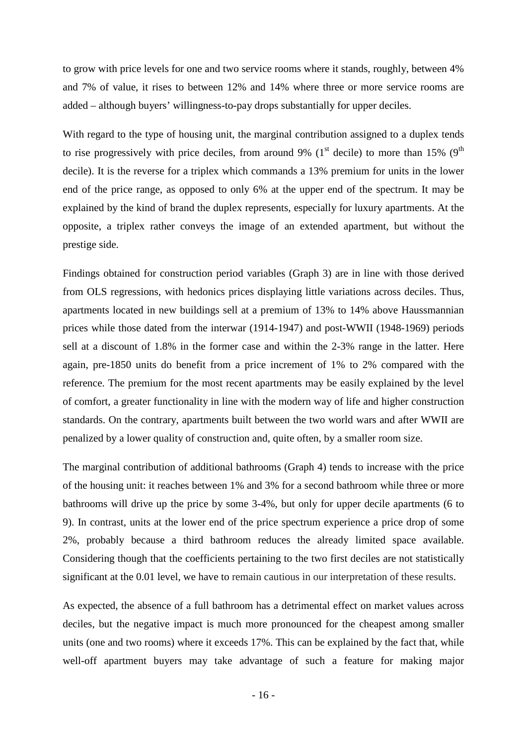to grow with price levels for one and two service rooms where it stands, roughly, between 4% and 7% of value, it rises to between 12% and 14% where three or more service rooms are added – although buyers' willingness-to-pay drops substantially for upper deciles.

With regard to the type of housing unit, the marginal contribution assigned to a duplex tends to rise progressively with price deciles, from around 9% ( $1<sup>st</sup>$  decile) to more than 15% ( $9<sup>th</sup>$ decile). It is the reverse for a triplex which commands a 13% premium for units in the lower end of the price range, as opposed to only 6% at the upper end of the spectrum. It may be explained by the kind of brand the duplex represents, especially for luxury apartments. At the opposite, a triplex rather conveys the image of an extended apartment, but without the prestige side.

Findings obtained for construction period variables (Graph 3) are in line with those derived from OLS regressions, with hedonics prices displaying little variations across deciles. Thus, apartments located in new buildings sell at a premium of 13% to 14% above Haussmannian prices while those dated from the interwar (1914-1947) and post-WWII (1948-1969) periods sell at a discount of 1.8% in the former case and within the 2-3% range in the latter. Here again, pre-1850 units do benefit from a price increment of 1% to 2% compared with the reference. The premium for the most recent apartments may be easily explained by the level of comfort, a greater functionality in line with the modern way of life and higher construction standards. On the contrary, apartments built between the two world wars and after WWII are penalized by a lower quality of construction and, quite often, by a smaller room size.

The marginal contribution of additional bathrooms (Graph 4) tends to increase with the price of the housing unit: it reaches between 1% and 3% for a second bathroom while three or more bathrooms will drive up the price by some 3-4%, but only for upper decile apartments (6 to 9). In contrast, units at the lower end of the price spectrum experience a price drop of some 2%, probably because a third bathroom reduces the already limited space available. Considering though that the coefficients pertaining to the two first deciles are not statistically significant at the 0.01 level, we have to remain cautious in our interpretation of these results.

As expected, the absence of a full bathroom has a detrimental effect on market values across deciles, but the negative impact is much more pronounced for the cheapest among smaller units (one and two rooms) where it exceeds 17%. This can be explained by the fact that, while well-off apartment buyers may take advantage of such a feature for making major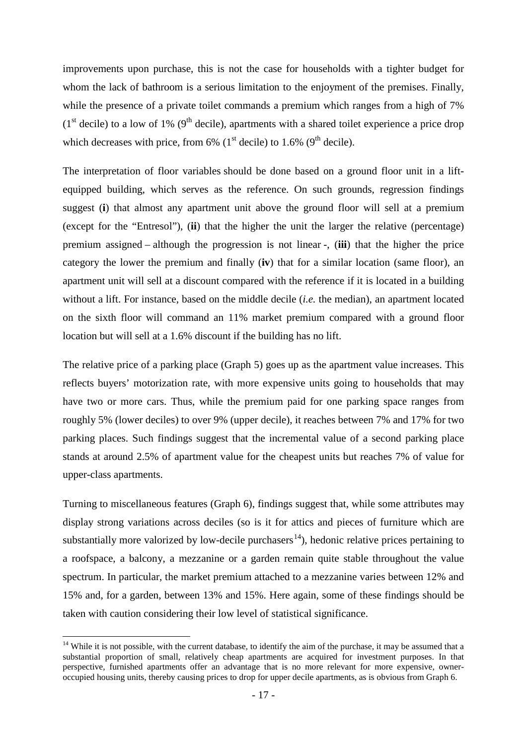improvements upon purchase, this is not the case for households with a tighter budget for whom the lack of bathroom is a serious limitation to the enjoyment of the premises. Finally, while the presence of a private toilet commands a premium which ranges from a high of 7%  $(1<sup>st</sup> decile)$  to a low of 1% (9<sup>th</sup> decile), apartments with a shared toilet experience a price drop which decreases with price, from 6% ( $1<sup>st</sup>$  decile) to 1.6% ( $9<sup>th</sup>$  decile).

The interpretation of floor variables should be done based on a ground floor unit in a liftequipped building, which serves as the reference. On such grounds, regression findings suggest (**i**) that almost any apartment unit above the ground floor will sell at a premium (except for the "Entresol"), (**ii**) that the higher the unit the larger the relative (percentage) premium assigned – although the progression is not linear -, (**iii**) that the higher the price category the lower the premium and finally (**iv**) that for a similar location (same floor), an apartment unit will sell at a discount compared with the reference if it is located in a building without a lift. For instance, based on the middle decile (*i.e.* the median), an apartment located on the sixth floor will command an 11% market premium compared with a ground floor location but will sell at a 1.6% discount if the building has no lift.

The relative price of a parking place (Graph 5) goes up as the apartment value increases. This reflects buyers' motorization rate, with more expensive units going to households that may have two or more cars. Thus, while the premium paid for one parking space ranges from roughly 5% (lower deciles) to over 9% (upper decile), it reaches between 7% and 17% for two parking places. Such findings suggest that the incremental value of a second parking place stands at around 2.5% of apartment value for the cheapest units but reaches 7% of value for upper-class apartments.

Turning to miscellaneous features (Graph 6), findings suggest that, while some attributes may display strong variations across deciles (so is it for attics and pieces of furniture which are substantially more valorized by low-decile purchasers<sup>[14](#page-16-0)</sup>), hedonic relative prices pertaining to a roofspace, a balcony, a mezzanine or a garden remain quite stable throughout the value spectrum. In particular, the market premium attached to a mezzanine varies between 12% and 15% and, for a garden, between 13% and 15%. Here again, some of these findings should be taken with caution considering their low level of statistical significance.

<u>.</u>

<span id="page-16-0"></span><sup>&</sup>lt;sup>14</sup> While it is not possible, with the current database, to identify the aim of the purchase, it may be assumed that a substantial proportion of small, relatively cheap apartments are acquired for investment purposes. In that perspective, furnished apartments offer an advantage that is no more relevant for more expensive, owneroccupied housing units, thereby causing prices to drop for upper decile apartments, as is obvious from Graph 6.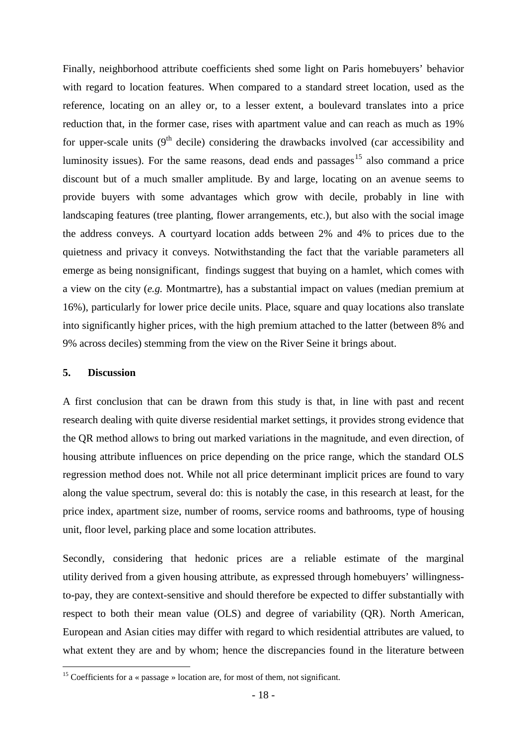Finally, neighborhood attribute coefficients shed some light on Paris homebuyers' behavior with regard to location features. When compared to a standard street location, used as the reference, locating on an alley or, to a lesser extent, a boulevard translates into a price reduction that, in the former case, rises with apartment value and can reach as much as 19% for upper-scale units  $(9<sup>th</sup>$  decile) considering the drawbacks involved (car accessibility and luminosity issues). For the same reasons, dead ends and passages<sup>[15](#page-17-0)</sup> also command a price discount but of a much smaller amplitude. By and large, locating on an avenue seems to provide buyers with some advantages which grow with decile, probably in line with landscaping features (tree planting, flower arrangements, etc.), but also with the social image the address conveys. A courtyard location adds between 2% and 4% to prices due to the quietness and privacy it conveys. Notwithstanding the fact that the variable parameters all emerge as being nonsignificant, findings suggest that buying on a hamlet, which comes with a view on the city (*e.g.* Montmartre), has a substantial impact on values (median premium at 16%), particularly for lower price decile units. Place, square and quay locations also translate into significantly higher prices, with the high premium attached to the latter (between 8% and 9% across deciles) stemming from the view on the River Seine it brings about.

### **5. Discussion**

<u>.</u>

A first conclusion that can be drawn from this study is that, in line with past and recent research dealing with quite diverse residential market settings, it provides strong evidence that the QR method allows to bring out marked variations in the magnitude, and even direction, of housing attribute influences on price depending on the price range, which the standard OLS regression method does not. While not all price determinant implicit prices are found to vary along the value spectrum, several do: this is notably the case, in this research at least, for the price index, apartment size, number of rooms, service rooms and bathrooms, type of housing unit, floor level, parking place and some location attributes.

Secondly, considering that hedonic prices are a reliable estimate of the marginal utility derived from a given housing attribute, as expressed through homebuyers' willingnessto-pay, they are context-sensitive and should therefore be expected to differ substantially with respect to both their mean value (OLS) and degree of variability (QR). North American, European and Asian cities may differ with regard to which residential attributes are valued, to what extent they are and by whom; hence the discrepancies found in the literature between

<span id="page-17-0"></span><sup>&</sup>lt;sup>15</sup> Coefficients for a « passage » location are, for most of them, not significant.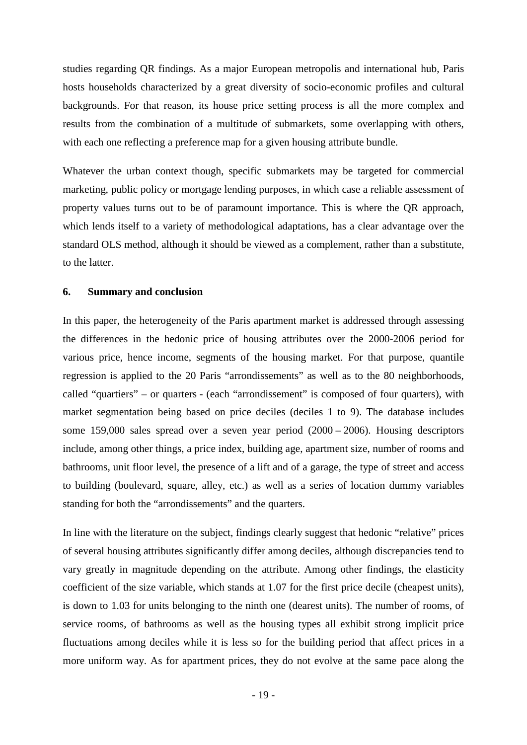studies regarding QR findings. As a major European metropolis and international hub, Paris hosts households characterized by a great diversity of socio-economic profiles and cultural backgrounds. For that reason, its house price setting process is all the more complex and results from the combination of a multitude of submarkets, some overlapping with others, with each one reflecting a preference map for a given housing attribute bundle.

Whatever the urban context though, specific submarkets may be targeted for commercial marketing, public policy or mortgage lending purposes, in which case a reliable assessment of property values turns out to be of paramount importance. This is where the QR approach, which lends itself to a variety of methodological adaptations, has a clear advantage over the standard OLS method, although it should be viewed as a complement, rather than a substitute, to the latter.

### **6. Summary and conclusion**

In this paper, the heterogeneity of the Paris apartment market is addressed through assessing the differences in the hedonic price of housing attributes over the 2000-2006 period for various price, hence income, segments of the housing market. For that purpose, quantile regression is applied to the 20 Paris "arrondissements" as well as to the 80 neighborhoods, called "quartiers" – or quarters - (each "arrondissement" is composed of four quarters), with market segmentation being based on price deciles (deciles 1 to 9). The database includes some 159,000 sales spread over a seven year period (2000 – 2006). Housing descriptors include, among other things, a price index, building age, apartment size, number of rooms and bathrooms, unit floor level, the presence of a lift and of a garage, the type of street and access to building (boulevard, square, alley, etc.) as well as a series of location dummy variables standing for both the "arrondissements" and the quarters.

In line with the literature on the subject, findings clearly suggest that hedonic "relative" prices of several housing attributes significantly differ among deciles, although discrepancies tend to vary greatly in magnitude depending on the attribute. Among other findings, the elasticity coefficient of the size variable, which stands at 1.07 for the first price decile (cheapest units), is down to 1.03 for units belonging to the ninth one (dearest units). The number of rooms, of service rooms, of bathrooms as well as the housing types all exhibit strong implicit price fluctuations among deciles while it is less so for the building period that affect prices in a more uniform way. As for apartment prices, they do not evolve at the same pace along the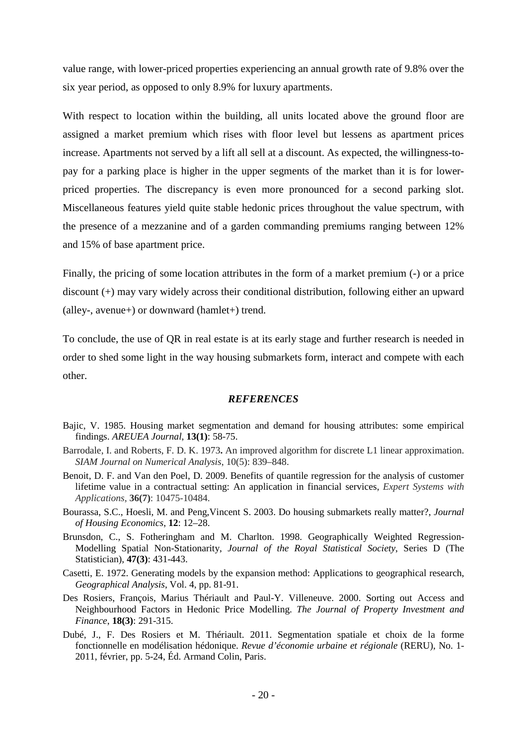value range, with lower-priced properties experiencing an annual growth rate of 9.8% over the six year period, as opposed to only 8.9% for luxury apartments.

With respect to location within the building, all units located above the ground floor are assigned a market premium which rises with floor level but lessens as apartment prices increase. Apartments not served by a lift all sell at a discount. As expected, the willingness-topay for a parking place is higher in the upper segments of the market than it is for lowerpriced properties. The discrepancy is even more pronounced for a second parking slot. Miscellaneous features yield quite stable hedonic prices throughout the value spectrum, with the presence of a mezzanine and of a garden commanding premiums ranging between 12% and 15% of base apartment price.

Finally, the pricing of some location attributes in the form of a market premium (-) or a price discount (+) may vary widely across their conditional distribution, following either an upward (alley-, avenue+) or downward (hamlet+) trend.

To conclude, the use of QR in real estate is at its early stage and further research is needed in order to shed some light in the way housing submarkets form, interact and compete with each other.

### *REFERENCES*

- Bajic, V. 1985. Housing market segmentation and demand for housing attributes: some empirical findings. *AREUEA Journal*, **13(1)**: 58-75.
- Barrodale, I. and Roberts, F. D. K. 1973**.** An improved algorithm for discrete L1 linear approximation. *SIAM Journal on Numerical Analysis*, 10(5): 839–848.
- Benoit, D. F. and Van den Poel, D. 2009. Benefits of quantile regression for the analysis of customer lifetime value in a contractual setting: An application in financial services, *Expert [Systems](http://www.sciencedirect.com/science/journal/09574174) with [Applications](http://www.sciencedirect.com/science/journal/09574174)*, **36(7)**: 10475-10484.
- Bourassa, S.C., Hoesli, M. and Peng,Vincent S. 2003. Do housing submarkets really matter?, *Journal of Housing Economics*, **12**: 12–28.
- Brunsdon, C., S. Fotheringham and M. Charlton. 1998. Geographically Weighted Regression-Modelling Spatial Non-Stationarity, *Journal of the Royal Statistical Society*, Series D (The Statistician), **47(3)**: 431-443.
- Casetti, E. 1972. Generating models by the expansion method: Applications to geographical research, *Geographical Analysis*, Vol. 4, pp. 81-91.
- Des Rosiers, François, Marius Thériault and Paul-Y. Villeneuve. 2000. Sorting out Access and Neighbourhood Factors in Hedonic Price Modelling. *The Journal of Property Investment and Finance*, **18(3)**: 291-315.
- Dubé, J., F. Des Rosiers et M. Thériault. 2011. Segmentation spatiale et choix de la forme fonctionnelle en modélisation hédonique. *Revue d'économie urbaine et régionale* (RERU), No. 1- 2011, février, pp. 5-24, Éd. Armand Colin, Paris.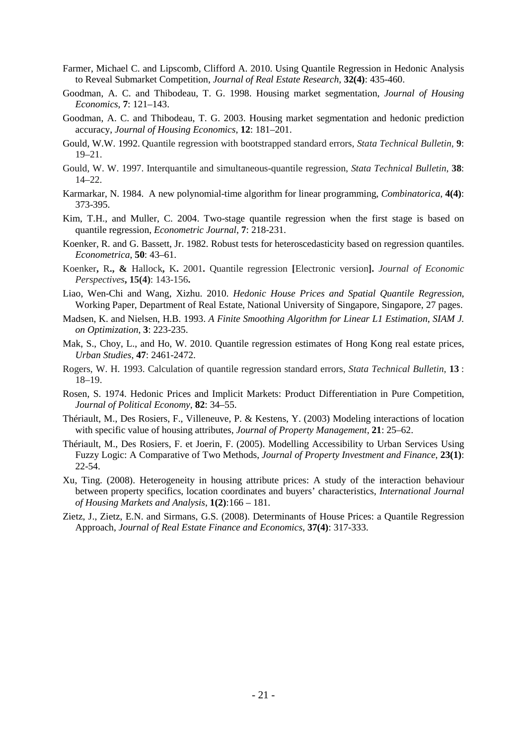- Farmer, Michael C. and Lipscomb, Clifford A. 2010. Using Quantile Regression in Hedonic Analysis to Reveal Submarket Competition, *Journal of Real Estate Research*, **32(4)**: 435-460.
- Goodman, A. C. and Thibodeau, T. G. 1998. Housing market segmentation, *Journal of Housing Economics*, **7**: 121–143.
- Goodman, A. C. and Thibodeau, T. G. 2003. Housing market segmentation and hedonic prediction accuracy, *Journal of Housing Economics*, **12**: 181–201.
- Gould, W.W. 1992. Quantile regression with bootstrapped standard errors, *Stata Technical Bulletin*, **9**: 19–21.
- Gould, W. W. 1997. Interquantile and simultaneous-quantile regression, *Stata Technical Bulletin*, **38**: 14–22.
- Karmarkar, N. 1984. A new polynomial-time algorithm for linear programming, *Combinatorica*, **4(4)**: 373-395.
- Kim, T.H., and Muller, C. 2004. Two-stage quantile regression when the first stage is based on quantile regression, *Econometric Journal*, **7**: 218-231.
- Koenker, R. and G. Bassett, Jr. 1982. Robust tests for heteroscedasticity based on regression quantiles. *Econometrica*, **50**: 43–61.
- Koenker**,** R**., &** Hallock**,** K**.** 2001**.** Quantile regression **[**Electronic version**].** *Journal of Economic Perspectives***, 15(4)**: 143-156**.**
- Liao, Wen-Chi and Wang, Xizhu. 2010. *Hedonic House Prices and Spatial Quantile Regression*, Working Paper, Department of Real Estate, National University of Singapore, Singapore, 27 pages.
- Madsen, K. and Nielsen, H.B. 1993. *A Finite Smoothing Algorithm for Linear L1 Estimation*, *SIAM J. on Optimization*, **3**: 223-235.
- Mak, S., Choy, L., and Ho, W. 2010. Quantile regression estimates of Hong Kong real estate prices, *Urban Studies*, **47**: 2461-2472.
- Rogers, W. H. 1993. Calculation of quantile regression standard errors, *Stata Technical Bulletin*, **13** : 18–19.
- Rosen, S. 1974. Hedonic Prices and Implicit Markets: Product Differentiation in Pure Competition, *Journal of Political Economy*, **82**: 34–55.
- Thériault, M., Des Rosiers, F., Villeneuve, P. & Kestens, Y. (2003) Modeling interactions of location with specific value of housing attributes, *Journal of Property Management*, **21**: 25–62.
- Thériault, M., Des Rosiers, F. et Joerin, F. (2005). Modelling Accessibility to Urban Services Using Fuzzy Logic: A Comparative of Two Methods, *Journal of Property Investment and Finance*, **23(1)**: 22-54.
- Xu, Ting. (2008). Heterogeneity in housing attribute prices: A study of the interaction behaviour between property specifics, location coordinates and buyers' characteristics, *International Journal of Housing Markets and Analysis*, **1(2)**:166 – 181.
- Zietz, J., Zietz, E.N. and Sirmans, G.S. (2008). Determinants of House Prices: a Quantile Regression Approach, *Journal of Real Estate Finance and Economics*, **37(4)**: 317-333.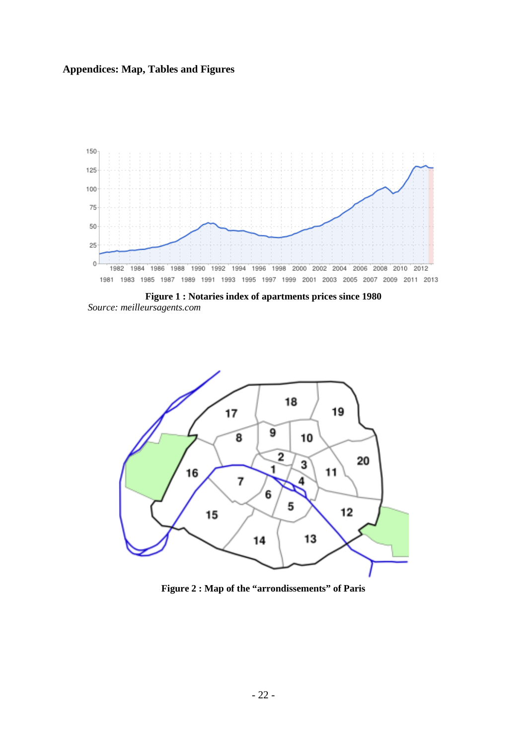## **Appendices: Map, Tables and Figures**



**Figure 1 : Notaries index of apartments prices since 1980** *Source: meilleursagents.com*



**Figure 2 : Map of the "arrondissements" of Paris**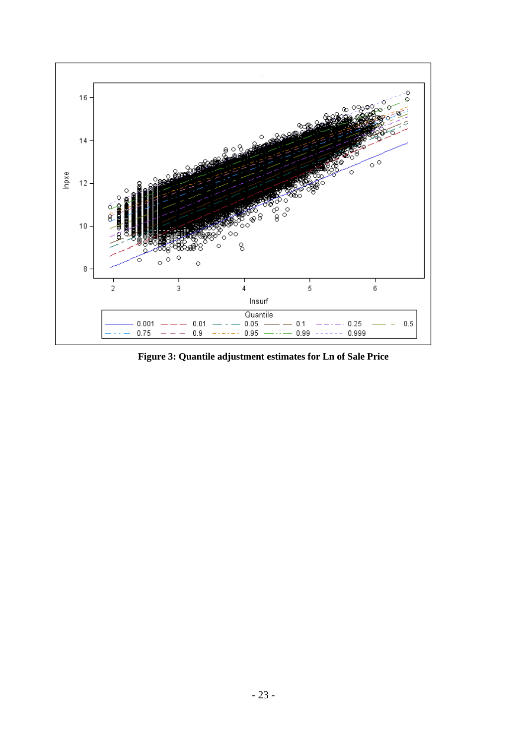

**Figure 3: Quantile adjustment estimates for Ln of Sale Price**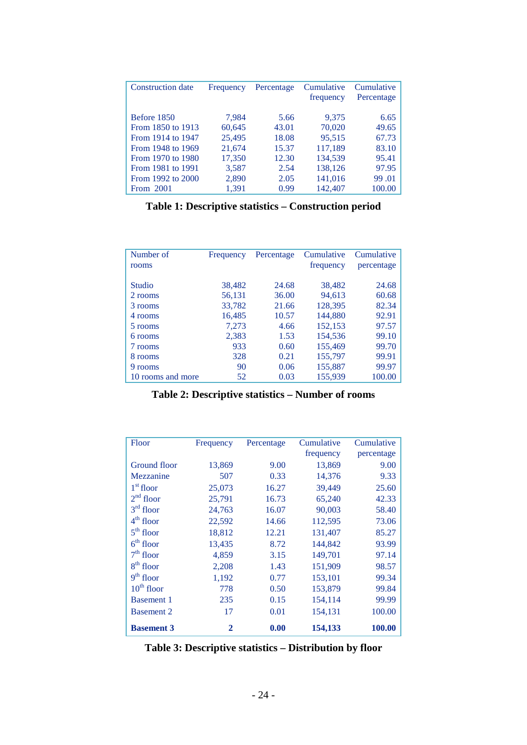| <b>Construction date</b> | Frequency | Percentage | Cumulative<br>frequency | Cumulative<br>Percentage |
|--------------------------|-----------|------------|-------------------------|--------------------------|
|                          |           |            |                         |                          |
| Before 1850              | 7,984     | 5.66       | 9,375                   | 6.65                     |
| From 1850 to 1913        | 60,645    | 43.01      | 70,020                  | 49.65                    |
| From 1914 to 1947        | 25,495    | 18.08      | 95,515                  | 67.73                    |
| From 1948 to 1969        | 21,674    | 15.37      | 117,189                 | 83.10                    |
| From 1970 to 1980        | 17,350    | 12.30      | 134.539                 | 95.41                    |
| From 1981 to 1991        | 3,587     | 2.54       | 138,126                 | 97.95                    |
| From 1992 to 2000        | 2,890     | 2.05       | 141,016                 | 99.01                    |
| From 2001                | 1,391     | 0.99       | 142,407                 | 100.00                   |

**Table 1: Descriptive statistics – Construction period**

| Number of<br>rooms | Frequency | Percentage | Cumulative<br>frequency | Cumulative<br>percentage |
|--------------------|-----------|------------|-------------------------|--------------------------|
| <b>Studio</b>      | 38,482    | 24.68      | 38,482                  | 24.68                    |
| 2 rooms            | 56,131    | 36.00      | 94,613                  | 60.68                    |
| 3 rooms            | 33,782    | 21.66      | 128,395                 | 82.34                    |
| 4 rooms            | 16,485    | 10.57      | 144,880                 | 92.91                    |
| 5 rooms            | 7,273     | 4.66       | 152,153                 | 97.57                    |
| 6 rooms            | 2,383     | 1.53       | 154,536                 | 99.10                    |
| 7 rooms            | 933       | 0.60       | 155,469                 | 99.70                    |
| 8 rooms            | 328       | 0.21       | 155,797                 | 99.91                    |
| 9 rooms            | 90        | 0.06       | 155,887                 | 99.97                    |
| 10 rooms and more  | 52        | 0.03       | 155,939                 | 100.00                   |

**Table 2: Descriptive statistics – Number of rooms** 

| Floor             | Frequency    | Percentage | Cumulative | Cumulative |
|-------------------|--------------|------------|------------|------------|
|                   |              |            | frequency  | percentage |
| Ground floor      | 13,869       | 9.00       | 13,869     | 9.00       |
| Mezzanine         | 507          | 0.33       | 14,376     | 9.33       |
| $1st$ floor       | 25,073       | 16.27      | 39,449     | 25.60      |
| $2nd$ floor       | 25,791       | 16.73      | 65,240     | 42.33      |
| $3rd$ floor       | 24,763       | 16.07      | 90,003     | 58.40      |
| $4th$ floor       | 22,592       | 14.66      | 112,595    | 73.06      |
| $5th$ floor       | 18,812       | 12.21      | 131,407    | 85.27      |
| $6th$ floor       | 13,435       | 8.72       | 144,842    | 93.99      |
| $7th$ floor       | 4,859        | 3.15       | 149,701    | 97.14      |
| $8th$ floor       | 2,208        | 1.43       | 151,909    | 98.57      |
| $9th$ floor       | 1,192        | 0.77       | 153,101    | 99.34      |
| $10th$ floor      | 778          | 0.50       | 153,879    | 99.84      |
| <b>Basement 1</b> | 235          | 0.15       | 154,114    | 99.99      |
| <b>Basement 2</b> | 17           | 0.01       | 154,131    | 100.00     |
| <b>Basement 3</b> | $\mathbf{2}$ | 0.00       | 154,133    | 100.00     |

**Table 3: Descriptive statistics – Distribution by floor**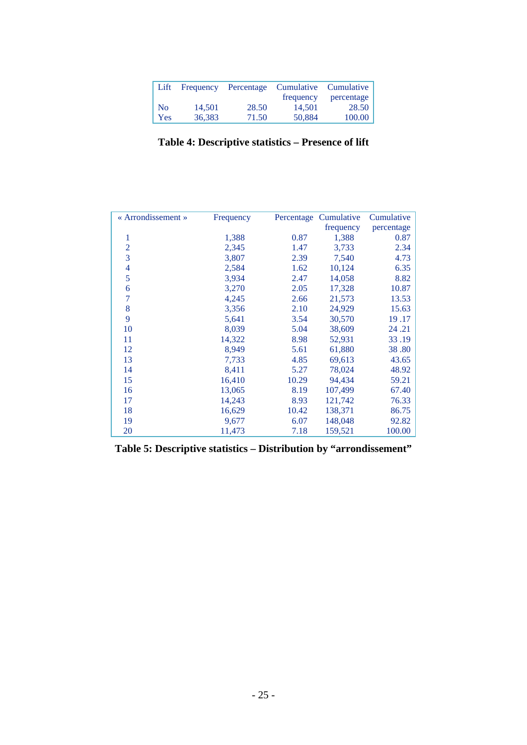| Lift           | Frequency | Percentage | Cumulative Cumulative |            |
|----------------|-----------|------------|-----------------------|------------|
|                |           |            | frequency             | percentage |
| N <sub>0</sub> | 14.501    | 28.50      | 14.501                | 28.50      |
| Yes            | 36,383    | 71.50      | 50,884                | 100.00     |

**Table 4: Descriptive statistics – Presence of lift**

| « Arrondissement » | Frequency | Percentage | Cumulative | Cumulative |
|--------------------|-----------|------------|------------|------------|
|                    |           |            | frequency  | percentage |
| 1                  | 1,388     | 0.87       | 1,388      | 0.87       |
| $\overline{2}$     | 2,345     | 1.47       | 3,733      | 2.34       |
| 3                  | 3,807     | 2.39       | 7,540      | 4.73       |
| $\overline{4}$     | 2,584     | 1.62       | 10,124     | 6.35       |
| 5                  | 3,934     | 2.47       | 14,058     | 8.82       |
| 6                  | 3,270     | 2.05       | 17,328     | 10.87      |
| 7                  | 4,245     | 2.66       | 21,573     | 13.53      |
| 8                  | 3,356     | 2.10       | 24,929     | 15.63      |
| 9                  | 5,641     | 3.54       | 30,570     | 19.17      |
| 10                 | 8,039     | 5.04       | 38,609     | 24.21      |
| 11                 | 14,322    | 8.98       | 52,931     | 33.19      |
| 12                 | 8,949     | 5.61       | 61,880     | 38.80      |
| 13                 | 7,733     | 4.85       | 69,613     | 43.65      |
| 14                 | 8,411     | 5.27       | 78,024     | 48.92      |
| 15                 | 16,410    | 10.29      | 94,434     | 59.21      |
| 16                 | 13,065    | 8.19       | 107,499    | 67.40      |
| 17                 | 14,243    | 8.93       | 121,742    | 76.33      |
| 18                 | 16,629    | 10.42      | 138,371    | 86.75      |
| 19                 | 9,677     | 6.07       | 148,048    | 92.82      |
| 20                 | 11,473    | 7.18       | 159,521    | 100.00     |

**Table 5: Descriptive statistics – Distribution by "arrondissement"**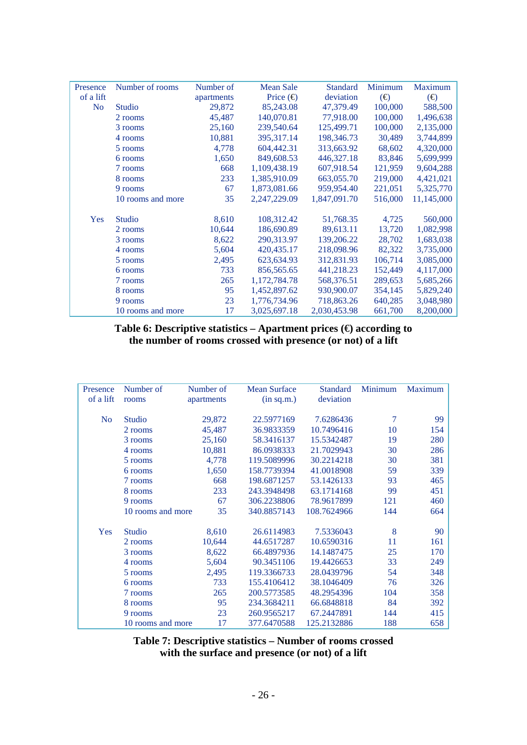| Presence       | Number of rooms   | Number of  | <b>Mean Sale</b>         | <b>Standard</b> | Minimum      | Maximum      |
|----------------|-------------------|------------|--------------------------|-----------------|--------------|--------------|
| of a lift      |                   | apartments | Price $\left(\in\right)$ | deviation       | $(\bigoplus$ | $(\bigoplus$ |
| N <sub>o</sub> | Studio            | 29,872     | 85,243.08                | 47,379.49       | 100,000      | 588,500      |
|                | 2 rooms           | 45,487     | 140,070.81               | 77,918.00       | 100,000      | 1,496,638    |
|                | 3 rooms           | 25,160     | 239,540.64               | 125,499.71      | 100,000      | 2,135,000    |
|                | 4 rooms           | 10,881     | 395,317.14               | 198,346.73      | 30,489       | 3,744,899    |
|                | 5 rooms           | 4,778      | 604,442.31               | 313,663.92      | 68,602       | 4,320,000    |
|                | 6 rooms           | 1,650      | 849,608.53               | 446,327.18      | 83,846       | 5,699,999    |
|                | 7 rooms           | 668        | 1,109,438.19             | 607,918.54      | 121,959      | 9,604,288    |
|                | 8 rooms           | 233        | 1,385,910.09             | 663,055.70      | 219,000      | 4,421,021    |
|                | 9 rooms           | 67         | 1,873,081.66             | 959,954.40      | 221,051      | 5,325,770    |
|                | 10 rooms and more | 35         | 2,247,229.09             | 1,847,091.70    | 516,000      | 11,145,000   |
|                |                   |            |                          |                 |              |              |
| Yes            | <b>Studio</b>     | 8,610      | 108,312.42               | 51,768.35       | 4,725        | 560,000      |
|                | 2 rooms           | 10,644     | 186,690.89               | 89,613.11       | 13,720       | 1,082,998    |
|                | 3 rooms           | 8,622      | 290,313.97               | 139,206.22      | 28,702       | 1,683,038    |
|                | 4 rooms           | 5,604      | 420, 435.17              | 218,098.96      | 82,322       | 3,735,000    |
|                | 5 rooms           | 2,495      | 623,634.93               | 312,831.93      | 106,714      | 3,085,000    |
|                | 6 rooms           | 733        | 856,565.65               | 441,218.23      | 152,449      | 4,117,000    |
|                | 7 rooms           | 265        | 1,172,784.78             | 568,376.51      | 289,653      | 5,685,266    |
|                | 8 rooms           | 95         | 1,452,897.62             | 930,900.07      | 354,145      | 5,829,240    |
|                | 9 rooms           | 23         | 1,776,734.96             | 718,863.26      | 640,285      | 3,048,980    |
|                | 10 rooms and more | 17         | 3,025,697.18             | 2,030,453.98    | 661,700      | 8,200,000    |

**Table 6: Descriptive statistics – Apartment prices (€) according to the number of rooms crossed with presence (or not) of a lift**

| Presence       | Number of         | Number of  | <b>Mean Surface</b> | Standard    | Minimum | <b>Maximum</b> |
|----------------|-------------------|------------|---------------------|-------------|---------|----------------|
| of a lift      | rooms             | apartments | (in sq.m.)          | deviation   |         |                |
|                |                   |            |                     |             |         |                |
| N <sub>o</sub> | Studio            | 29,872     | 22.5977169          | 7.6286436   | 7       | 99             |
|                | 2 rooms           | 45,487     | 36.9833359          | 10.7496416  | 10      | 154            |
|                | 3 rooms           | 25,160     | 58.3416137          | 15.5342487  | 19      | 280            |
|                | 4 rooms           | 10,881     | 86.0938333          | 21.7029943  | 30      | 286            |
|                | 5 rooms           | 4,778      | 119.5089996         | 30.2214218  | 30      | 381            |
|                | 6 rooms           | 1,650      | 158.7739394         | 41.0018908  | 59      | 339            |
|                | 7 rooms           | 668        | 198.6871257         | 53.1426133  | 93      | 465            |
|                | 8 rooms           | 233        | 243.3948498         | 63.1714168  | 99      | 451            |
|                | 9 rooms           | 67         | 306.2238806         | 78.9617899  | 121     | 460            |
|                | 10 rooms and more | 35         | 340.8857143         | 108.7624966 | 144     | 664            |
| <b>Yes</b>     | Studio            | 8,610      | 26.6114983          | 7.5336043   | 8       | 90             |
|                | 2 rooms           | 10,644     | 44.6517287          | 10.6590316  | 11      | 161            |
|                | 3 rooms           | 8,622      | 66.4897936          | 14.1487475  | 25      | 170            |
|                | 4 rooms           | 5,604      | 90.3451106          | 19.4426653  | 33      | 249            |
|                | 5 rooms           | 2,495      | 119.3366733         | 28.0439796  | 54      | 348            |
|                | 6 rooms           | 733        | 155.4106412         | 38.1046409  | 76      | 326            |
|                | 7 rooms           | 265        | 200.5773585         | 48.2954396  | 104     | 358            |
|                | 8 rooms           | 95         | 234.3684211         | 66.6848818  | 84      | 392            |
|                | 9 rooms           | 23         | 260.9565217         | 67.2447891  | 144     | 415            |
|                | 10 rooms and more | 17         | 377.6470588         | 125.2132886 | 188     | 658            |

**Table 7: Descriptive statistics – Number of rooms crossed with the surface and presence (or not) of a lift**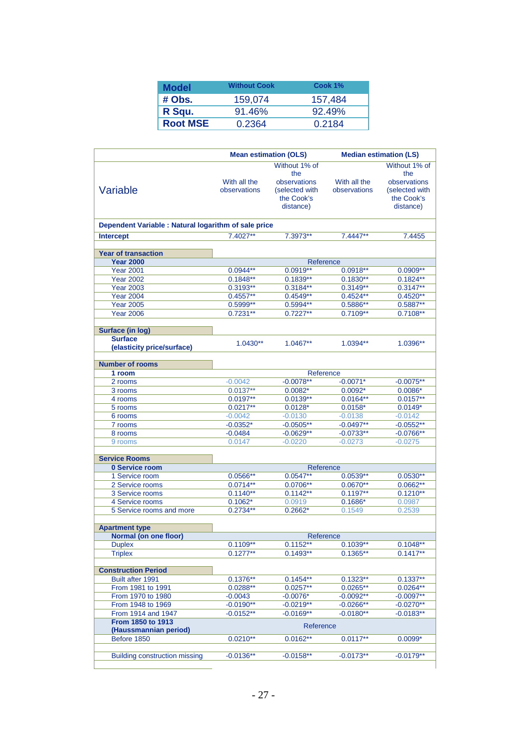| <b>Model</b>    | <b>Without Cook</b> | Cook 1% |
|-----------------|---------------------|---------|
| # Obs.          | 159,074             | 157,484 |
| R Squ.          | $91.46\%$           | 92.49%  |
| <b>Root MSE</b> | 0.2364              | 0.2184  |

|                                                      | <b>Mean estimation (OLS)</b> |                                                                                   | <b>Median estimation (LS)</b> |                                                                                   |
|------------------------------------------------------|------------------------------|-----------------------------------------------------------------------------------|-------------------------------|-----------------------------------------------------------------------------------|
| Variable                                             | With all the<br>observations | Without 1% of<br>the<br>observations<br>(selected with<br>the Cook's<br>distance) | With all the<br>observations  | Without 1% of<br>the<br>observations<br>(selected with<br>the Cook's<br>distance) |
|                                                      |                              |                                                                                   |                               |                                                                                   |
| Dependent Variable : Natural logarithm of sale price |                              |                                                                                   |                               |                                                                                   |
| <b>Intercept</b>                                     | 7.4027**                     | 7.3973**                                                                          | $7.4447**$                    | 7.4455                                                                            |
|                                                      |                              |                                                                                   |                               |                                                                                   |
| <b>Year of transaction</b>                           |                              |                                                                                   |                               |                                                                                   |
| <b>Year 2000</b><br><b>Year 2001</b>                 | $0.0944**$                   | Reference<br>$0.0919**$                                                           | $0.0918**$                    | $0.0909**$                                                                        |
| <b>Year 2002</b>                                     | $0.1848**$                   | $0.1839**$                                                                        | $0.1830**$                    | $0.1824**$                                                                        |
| <b>Year 2003</b>                                     | $0.3193**$                   | $0.3184**$                                                                        | $0.3149**$                    | $0.3147**$                                                                        |
| <b>Year 2004</b>                                     | $0.4557**$                   | $0.4549**$                                                                        | $0.4524**$                    | $0.4520**$                                                                        |
| <b>Year 2005</b>                                     | $0.5999**$                   | $0.5994**$                                                                        | $0.5886**$                    | $0.5887**$                                                                        |
| <b>Year 2006</b>                                     | $0.7231**$                   | $0.7227**$                                                                        | $0.7109**$                    | $0.7108**$                                                                        |
|                                                      |                              |                                                                                   |                               |                                                                                   |
| <b>Surface (in log)</b>                              |                              |                                                                                   |                               |                                                                                   |
| <b>Surface</b>                                       | $1.0430**$                   | 1.0467**                                                                          | 1.0394**                      | 1.0396**                                                                          |
| (elasticity price/surface)                           |                              |                                                                                   |                               |                                                                                   |
| <b>Number of rooms</b>                               |                              |                                                                                   |                               |                                                                                   |
| 1 room                                               |                              | Reference                                                                         |                               |                                                                                   |
| 2 rooms                                              | $-0.0042$                    | $-0.0078***$                                                                      | $-0.0071*$                    | $-0.0075**$                                                                       |
| 3 rooms                                              | $0.0137**$                   | $0.0082*$                                                                         | $0.0092*$                     | $0.0086*$                                                                         |
| 4 rooms                                              | $0.0197**$                   | $0.0139**$                                                                        | $0.0164**$                    | $0.0157**$                                                                        |
| 5 rooms                                              | $0.0217**$                   | $0.0128*$                                                                         | $0.0158*$                     | $0.0149*$                                                                         |
| 6 rooms                                              | $-0.0042$                    | $-0.0130$                                                                         | $-0.0138$                     | $-0.0142$                                                                         |
| 7 rooms                                              | $-0.0352*$                   | $-0.0505**$                                                                       | $-0.0497**$                   | $-0.0552**$                                                                       |
| 8 rooms                                              | $-0.0484$                    | $-0.0629**$                                                                       | $-0.0733**$                   | $-0.0766**$                                                                       |
| 9 rooms                                              | 0.0147                       | $-0.0220$                                                                         | $-0.0273$                     | $-0.0275$                                                                         |
|                                                      |                              |                                                                                   |                               |                                                                                   |
| <b>Service Rooms</b>                                 |                              |                                                                                   |                               |                                                                                   |
| 0 Service room                                       | $0.0566**$                   | Reference<br>$0.0547**$                                                           | $0.0539**$                    | $0.0530**$                                                                        |
| 1 Service room<br>2 Service rooms                    | $0.0714**$                   | $0.0706**$                                                                        | $0.0670**$                    | $0.0662**$                                                                        |
| 3 Service rooms                                      | $0.1140**$                   | $0.1142**$                                                                        | $0.1197**$                    | $0.1210**$                                                                        |
| 4 Service rooms                                      | $0.1062*$                    | 0.0919                                                                            | $0.1686*$                     | 0.0987                                                                            |
| 5 Service rooms and more                             | $0.2734**$                   | $0.2662*$                                                                         | 0.1549                        | 0.2539                                                                            |
|                                                      |                              |                                                                                   |                               |                                                                                   |
| <b>Apartment type</b>                                |                              |                                                                                   |                               |                                                                                   |
| Normal (on one floor)                                |                              | Reference                                                                         |                               |                                                                                   |
| <b>Duplex</b>                                        | $0.1109**$                   | $0.1152**$                                                                        | $0.1039**$                    | $0.1048**$                                                                        |
| <b>Triplex</b>                                       | $0.1277**$                   | $0.1493**$                                                                        | $0.1365**$                    | $0.1417**$                                                                        |
|                                                      |                              |                                                                                   |                               |                                                                                   |
| <b>Construction Period</b>                           |                              |                                                                                   |                               |                                                                                   |
| Built after 1991                                     | $0.1376**$<br>$0.0288**$     | $0.1454**$<br>$0.0257**$                                                          | $0.1323**$<br>$0.0265**$      | $0.1337**$<br>$0.0264**$                                                          |
| From 1981 to 1991<br>From 1970 to 1980               | $-0.0043$                    | $-0.0076*$                                                                        | $-0.0092**$                   | $-0.0097**$                                                                       |
| From 1948 to 1969                                    | $-0.0190**$                  | $-0.0219**$                                                                       | $-0.0266**$                   | $-0.0270**$                                                                       |
| From 1914 and 1947                                   | $-0.0152**$                  | $-0.0169**$                                                                       | $-0.0180**$                   | $-0.0183**$                                                                       |
| From 1850 to 1913                                    |                              |                                                                                   |                               |                                                                                   |
| (Haussmannian period)                                |                              | Reference                                                                         |                               |                                                                                   |
| Before 1850                                          | $0.0210**$                   | $0.0162**$                                                                        | $0.0117**$                    | $0.0099*$                                                                         |
|                                                      | $-0.0136**$                  | $-0.0158**$                                                                       |                               |                                                                                   |
| <b>Building construction missing</b>                 |                              |                                                                                   | $-0.0173**$                   | $-0.0179**$                                                                       |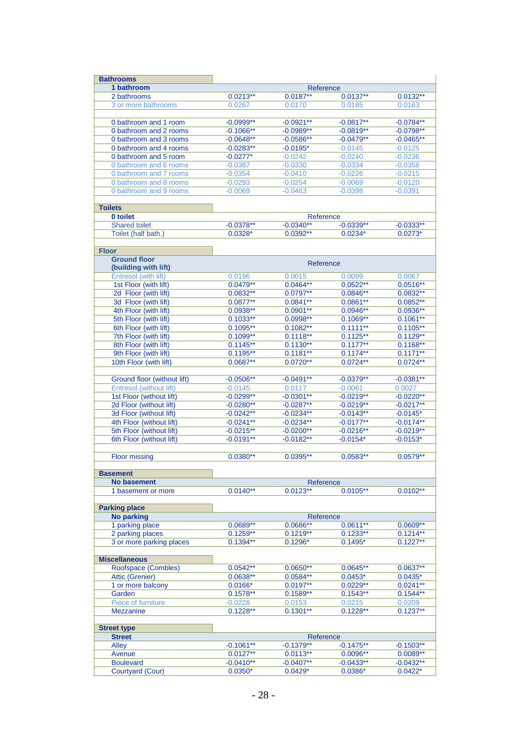| <b>Bathrooms</b>                                 |                          |                          |                          |                          |
|--------------------------------------------------|--------------------------|--------------------------|--------------------------|--------------------------|
| 1 bathroom                                       |                          | Reference                |                          |                          |
| 2 bathrooms                                      | $0.0213**$               | $0.0187**$               | $0.0137**$               | $0.0132**$               |
| 3 or more bathrooms                              | 0.0267                   | 0.0170                   | 0.0185                   | 0.0163                   |
|                                                  |                          |                          |                          |                          |
| 0 bathroom and 1 room                            | $-0.0999**$              | $-0.0921**$              | $-0.0817**$              | $-0.0784**$              |
| 0 bathroom and 2 rooms                           | $-0.1066**$              | $-0.0989**$              | $-0.0819**$              | $-0.0798**$              |
| 0 bathroom and 3 rooms                           | $-0.0648**$              | $-0.0586**$              | $-0.0479**$              | $-0.0465**$              |
| 0 bathroom and 4 rooms                           | $-0.0283**$              | $-0.0195*$               | $-0.0145$                | $-0.0125$                |
| 0 bathroom and 5 room                            | $-0.0277*$               | $-0.0242$                | $-0.0240$                | $-0.0236$                |
| 0 bathroom and 6 rooms                           | $-0.0387$                | $-0.0330$                | $-0.0334$                | $-0.0358$                |
| 0 bathroom and 7 rooms<br>0 bathroom and 8 rooms | $-0.0354$<br>$-0.0293$   | $-0.0410$<br>$-0.0254$   | $-0.0226$<br>$-0.0069$   | $-0.0215$<br>$-0.0120$   |
| 0 bathroom and 9 rooms                           | $-0.0069$                | $-0.0463$                | $-0.0398$                | $-0.0391$                |
|                                                  |                          |                          |                          |                          |
| <b>Toilets</b>                                   |                          |                          |                          |                          |
| 0 toilet                                         |                          | Reference                |                          |                          |
| <b>Shared toilet</b>                             | $-0.0378**$              | $-0.0340**$              | $-0.0339**$              | $-0.0333**$              |
| Toilet (half bath.)                              | $0.0328*$                | $0.0392**$               | $0.0234*$                | $0.0273*$                |
|                                                  |                          |                          |                          |                          |
| <b>Floor</b>                                     |                          |                          |                          |                          |
| <b>Ground floor</b>                              |                          | Reference                |                          |                          |
| (building with lift)                             |                          |                          |                          |                          |
| Entresol (with lift)                             | 0.0196                   | 0.0015                   | 0.0099                   | 0.0067                   |
| 1st Floor (with lift)                            | $0.0479**$               | $0.0464**$               | $0.0522**$               | $0.0516**$               |
| 2d Floor (with lift)                             | $0.0832**$<br>$0.0877**$ | $0.0797**$               | $0.0846**$               | $0.0832**$               |
| 3d Floor (with lift)<br>4th Floor (with lift)    | $0.0938**$               | $0.0841**$<br>$0.0901**$ | $0.0861**$<br>$0.0946**$ | $0.0852**$<br>$0.0936**$ |
| 5th Floor (with lift)                            | $0.1033**$               | $0.0998**$               | $0.1069**$               | $0.1061**$               |
| 6th Floor (with lift)                            | $0.1095**$               | $0.1082**$               | $0.1111**$               | $0.1105***$              |
| 7th Floor (with lift)                            | $0.1099**$               | $0.1118**$               | $0.1125**$               | $0.1129**$               |
| 8th Floor (with lift)                            | $0.1145**$               | $0.1130**$               | $0.1177**$               | $0.1168**$               |
| 9th Floor (with lift)                            | $0.1195**$               | $0.1181**$               | $0.1174**$               | $0.1171**$               |
| 10th Floor (with lift)                           | $0.0687**$               | $0.0720**$               | $0.0724**$               | $0.0724**$               |
|                                                  |                          |                          |                          |                          |
| Ground floor (without lift)                      | $-0.0506**$              | $-0.0491**$              | $-0.0379**$              | $-0.0381**$              |
| Entresol (without lift)                          | $-0.0145$                | 0.0117                   | $-0.0061$                | 0.0027                   |
| 1st Floor (without lift)                         | $-0.0299**$              | $-0.0301**$              | $-0.0219**$              | $-0.0220**$              |
| 2d Floor (without lift)                          | $-0.0280**$              | $-0.0287**$              | $-0.0219**$              | $-0.0217**$              |
| 3d Floor (without lift)                          | $-0.0242**$              | $-0.0234**$              | $-0.0143**$              | $-0.0145*$               |
| 4th Floor (without lift)                         | $-0.0241**$              | $-0.0234**$              | $-0.0177**$              | $-0.0174**$              |
| 5th Floor (without lift)                         | $-0.0215***$             | $-0.0200**$              | $-0.0216**$              | $-0.0219**$              |
| 6th Floor (without lift)                         | $-0.0191**$              | $-0.0182**$              | $-0.0154*$               | $-0.0153*$               |
|                                                  |                          |                          |                          |                          |
| <b>Floor missing</b>                             | $0.0380**$               | $0.0395**$               | $0.0583**$               | $0.0579**$               |
|                                                  |                          |                          |                          |                          |
| <b>Basement</b><br><b>No basement</b>            |                          | Reference                |                          |                          |
| 1 basement or more                               | $0.0140**$               | $0.0123**$               | $0.0105**$               | $0.0102**$               |
|                                                  |                          |                          |                          |                          |
| <b>Parking place</b>                             |                          |                          |                          |                          |
| No parking                                       |                          | Reference                |                          |                          |
| 1 parking place                                  | $0.0689**$               | $0.0686**$               | $0.0611**$               | $0.0609**$               |
| 2 parking places                                 | $0.1259**$               | $0.1219**$               | $0.1233**$               | $0.1214**$               |
| 3 or more parking places                         | $0.1394**$               | $0.1296*$                | $0.1495*$                | $0.1227**$               |
|                                                  |                          |                          |                          |                          |
| <b>Miscellaneous</b>                             |                          |                          |                          |                          |
| Roofspace (Combles)                              | $0.0542**$               | $0.0650**$               | $0.0645**$               | $0.0637**$               |
| Attic (Grenier)                                  | $0.0638**$               | $0.0584**$               | $0.0453*$                | $0.0435*$                |
| 1 or more balcony                                | $0.0166*$                | $0.0197**$               | $0.0229**$               | $0.0241**$               |
| Garden                                           | $0.1578**$               | $0.1589**$               | $0.1543**$               | $0.1544**$               |
| Piece of furniture                               | $-0.0228$                | 0.0153                   | 0.0215                   | 0.0209                   |
| <b>Mezzanine</b>                                 | $0.1228**$               | $0.1301**$               | $0.1228**$               | $0.1237**$               |
|                                                  |                          |                          |                          |                          |
| <b>Street type</b>                               |                          |                          |                          |                          |
| <b>Street</b>                                    | $-0.1061**$              | Reference<br>$-0.1379**$ | $-0.1475**$              | $-0.1503**$              |
| Alley<br>Avenue                                  | $0.0127**$               | $0.0113**$               | $0.0096**$               | $0.0089**$               |
| <b>Boulevard</b>                                 | $-0.0410**$              | $-0.0407**$              | $-0.0433**$              | $-0.0432**$              |
| Courtyard (Cour)                                 | $0.0350*$                | $0.0429*$                | $0.0386*$                | $0.0422*$                |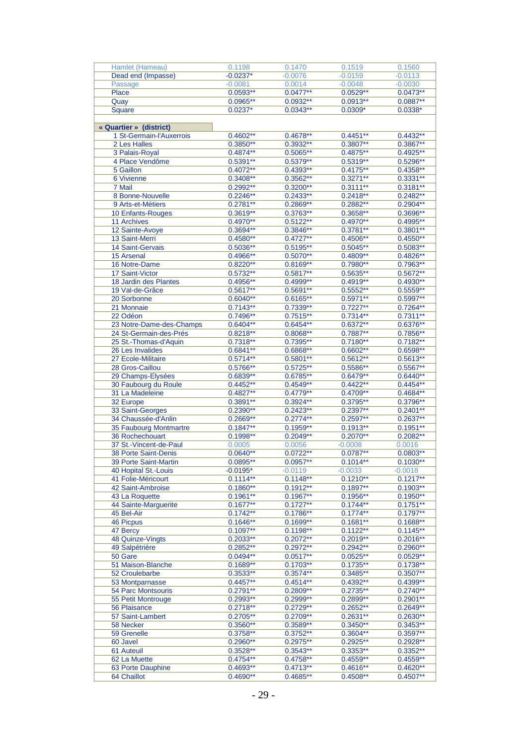| Hamlet (Hameau)             | 0.1198      | 0.1470      | 0.1519      | 0.1560      |
|-----------------------------|-------------|-------------|-------------|-------------|
| Dead end (Impasse)          | $-0.0237*$  | $-0.0076$   | $-0.0159$   | $-0.0113$   |
| Passage                     | $-0.0081$   | 0.0014      | $-0.0048$   | $-0.0030$   |
|                             |             |             |             |             |
| Place                       | $0.0593**$  | $0.0477***$ | $0.0529**$  | $0.0473**$  |
| Quay                        | $0.0965***$ | $0.0932**$  | $0.0913**$  | $0.0887**$  |
| Square                      | $0.0237*$   | $0.0343**$  | $0.0309*$   | $0.0338*$   |
|                             |             |             |             |             |
| « Quartier » (district)     |             |             |             |             |
|                             | $0.4602**$  |             |             | $0.4432**$  |
| 1 St-Germain-l'Auxerrois    |             | $0.4678**$  | $0.4451**$  |             |
| 2 Les Halles                | $0.3850**$  | $0.3932**$  | $0.3807**$  | $0.3867**$  |
| 3 Palais-Royal              | $0.4874***$ | $0.5065**$  | $0.4875**$  | $0.4925***$ |
| 4 Place Vendôme             | $0.5391***$ | $0.5379**$  | $0.5319**$  | $0.5296**$  |
| 5 Gaillon                   | $0.4072**$  | $0.4393**$  | $0.4175**$  | $0.4358**$  |
| 6 Vivienne                  | $0.3408**$  | $0.3562**$  | $0.3271**$  | $0.3331**$  |
|                             |             |             |             |             |
| 7 Mail                      | $0.2992**$  | $0.3200**$  | $0.3111**$  | $0.3181**$  |
| 8 Bonne-Nouvelle            | $0.2246**$  | $0.2433**$  | $0.2418**$  | $0.2482**$  |
| 9 Arts-et-Métiers           | $0.2781**$  | $0.2869**$  | $0.2882**$  | $0.2904**$  |
| 10 Enfants-Rouges           | $0.3619**$  | $0.3763**$  | $0.3658**$  | $0.3696**$  |
|                             | $0.4970**$  | $0.5122**$  | $0.4970**$  |             |
| <b>11 Archives</b>          |             |             |             | 0.4995**    |
| 12 Sainte-Avoye             | $0.3694***$ | $0.3846**$  | $0.3781**$  | $0.3801**$  |
| 13 Saint-Merri              | $0.4580**$  | $0.4727**$  | $0.4506**$  | $0.4550**$  |
| <b>14 Saint-Gervais</b>     | $0.5036**$  | $0.5195***$ | $0.5045**$  | $0.5083**$  |
| <b>15 Arsenal</b>           | $0.4966**$  | $0.5070**$  | $0.4809**$  | $0.4826**$  |
|                             |             |             |             |             |
| 16 Notre-Dame               | $0.8220**$  | $0.8169**$  | $0.7980**$  | 0.7963**    |
| 17 Saint-Victor             | $0.5732**$  | $0.5817***$ | $0.5635***$ | $0.5672**$  |
| 18 Jardin des Plantes       | $0.4956**$  | $0.4999**$  | $0.4919**$  | $0.4930**$  |
| 19 Val-de-Grâce             | $0.5617**$  | $0.5691**$  | $0.5552**$  | $0.5559**$  |
| 20 Sorbonne                 | $0.6040**$  | $0.6165***$ | $0.5971**$  | $0.5997**$  |
|                             | $0.7143**$  | $0.7339**$  |             |             |
| 21 Monnaie                  |             |             | $0.7227**$  | $0.7264**$  |
| 22 Odéon                    | $0.7496**$  | $0.7515***$ | $0.7314**$  | $0.7311***$ |
| 23 Notre-Dame-des-Champs    | $0.6404**$  | $0.6454**$  | $0.6372**$  | $0.6376**$  |
| 24 St-Germain-des-Prés      | $0.8218**$  | $0.8068**$  | $0.7887**$  | $0.7856**$  |
| 25 St.-Thomas-d'Aquin       | $0.7318**$  | $0.7395**$  | $0.7180**$  | $0.7182**$  |
|                             |             |             |             |             |
| 26 Les Invalides            | $0.6841**$  | $0.6868**$  | $0.6602**$  | $0.6598**$  |
| 27 Ecole-Militaire          | $0.5714**$  | $0.5801***$ | $0.5612***$ | $0.5613**$  |
| 28 Gros-Caillou             | $0.5766**$  | $0.5725**$  | $0.5586**$  | $0.5567**$  |
| 29 Champs-Elysées           | $0.6839**$  | $0.6785**$  | $0.6479**$  | $0.6440**$  |
| 30 Faubourg du Roule        | $0.4452**$  | $0.4549**$  | $0.4422**$  | $0.4454**$  |
| 31 La Madeleine             | $0.4827**$  | $0.4779**$  | $0.4709**$  | $0.4684**$  |
|                             |             |             |             |             |
| 32 Europe                   | $0.3891**$  | $0.3924**$  | $0.3795**$  | $0.3796**$  |
| 33 Saint-Georges            | $0.2390**$  | $0.2423**$  | $0.2397**$  | $0.2401***$ |
| 34 Chaussée-d'Anlin         | $0.2669**$  | $0.2774**$  | $0.2597**$  | $0.2637**$  |
| 35 Faubourg Montmartre      | $0.1847**$  | $0.1959**$  | $0.1913**$  | $0.1951***$ |
| 36 Rochechouart             | $0.1998**$  | $0.2049**$  | $0.2070**$  | $0.2082**$  |
|                             |             |             |             |             |
| 37 St.-Vincent-de-Paul      | 0.0005      | 0.0056      | $-0.0008$   | 0.0016      |
| <b>38 Porte Saint-Denis</b> | $0.0640**$  | $0.0722**$  | $0.0787**$  | $0.0803**$  |
| 39 Porte Saint-Martin       | $0.0895*$   | $0.0957***$ | $0.1014***$ | $0.1030**$  |
| 40 Hopital St.-Louis        | $-0.0195*$  | $-0.0119$   | $-0.0033$   | $-0.0018$   |
| 41 Folie-Méricourt          | $0.1114**$  | $0.1148**$  | $0.1210**$  | $0.1217**$  |
| 42 Saint-Ambroise           | $0.1860**$  | $0.1912**$  | $0.1897***$ | $0.1903**$  |
|                             |             |             |             |             |
| 43 La Roquette              | $0.1961**$  | $0.1967**$  | $0.1956**$  | $0.1950**$  |
| 44 Sainte-Marguerite        | $0.1677**$  | $0.1727**$  | $0.1744**$  | $0.1751**$  |
| 45 Bel-Air                  | $0.1742**$  | $0.1786**$  | $0.1774**$  | $0.1797**$  |
| 46 Picpus                   | $0.1646**$  | $0.1699**$  | $0.1681**$  | $0.1688**$  |
| 47 Bercy                    | $0.1097**$  | $0.1198**$  | $0.1122**$  | $0.1145***$ |
|                             | $0.2033**$  | $0.2072**$  | $0.2019**$  |             |
| 48 Quinze-Vingts            |             |             |             | $0.2016**$  |
| 49 Salpétrière              | $0.2852**$  | $0.2972**$  | $0.2942**$  | $0.2960**$  |
| 50 Gare                     | $0.0494**$  | $0.0517**$  | $0.0525**$  | $0.0529**$  |
| 51 Maison-Blanche           | $0.1689**$  | $0.1703**$  | $0.1735***$ | $0.1738**$  |
| 52 Croulebarbe              | $0.3533**$  | $0.3574**$  | $0.3485**$  | $0.3507**$  |
|                             | $0.4457**$  | $0.4514**$  | $0.4392**$  | $0.4399**$  |
| 53 Montparnasse             |             |             |             |             |
| 54 Parc Montsouris          | $0.2791**$  | $0.2809**$  | $0.2735**$  | $0.2740**$  |
| 55 Petit Montrouge          | $0.2993**$  | $0.2999**$  | $0.2899**$  | $0.2901***$ |
| 56 Plaisance                | $0.2718**$  | $0.2729**$  | $0.2652**$  | $0.2649**$  |
| 57 Saint-Lambert            | $0.2705**$  | $0.2709**$  | $0.2631**$  | $0.2630**$  |
| 58 Necker                   | $0.3560**$  | $0.3589**$  | $0.3450**$  | $0.3453**$  |
|                             |             |             |             |             |
| 59 Grenelle                 | $0.3758**$  | $0.3752**$  | $0.3604**$  | $0.3597**$  |
| 60 Javel                    | $0.2960**$  | $0.2975**$  | $0.2925**$  | $0.2928**$  |
| 61 Auteuil                  | $0.3528**$  | $0.3543**$  | $0.3353**$  | $0.3352**$  |
| 62 La Muette                | $0.4754**$  | $0.4758**$  | $0.4559**$  | $0.4559**$  |
| 63 Porte Dauphine           | $0.4693**$  | $0.4713**$  | $0.4616**$  | $0.4620**$  |
|                             |             |             |             |             |
| 64 Chaillot                 | $0.4690**$  | $0.4685**$  | $0.4508**$  | $0.4507**$  |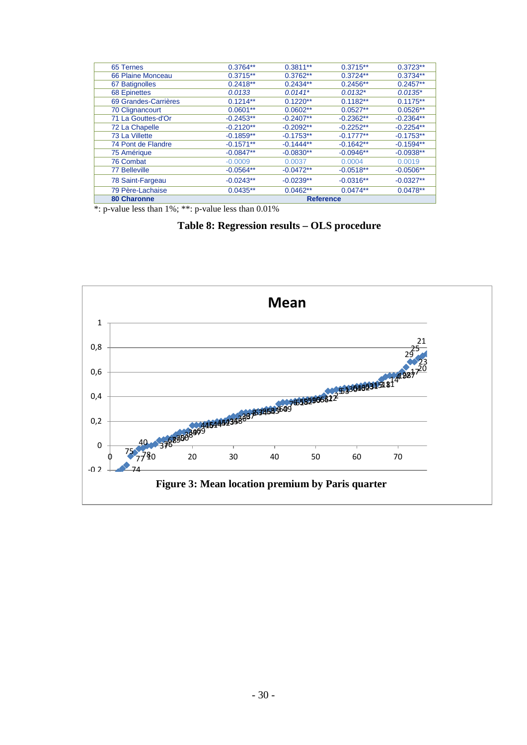| 65 Ternes            | $0.3764**$       | $0.3811**$  | $0.3715**$  | $0.3723**$  |  |  |
|----------------------|------------------|-------------|-------------|-------------|--|--|
| 66 Plaine Monceau    | $0.3715**$       | $0.3762**$  | $0.3724**$  | $0.3734**$  |  |  |
| 67 Batignolles       | $0.2418**$       | $0.2434**$  | $0.2456**$  | $0.2457**$  |  |  |
| <b>68 Epinettes</b>  | 0.0133           | $0.0141*$   | $0.0132*$   | $0.0135*$   |  |  |
| 69 Grandes-Carrières | $0.1214**$       | $0.1220**$  | $0.1182**$  | $0.1175**$  |  |  |
| 70 Clignancourt      | $0.0601**$       | $0.0602**$  | $0.0527**$  | $0.0526**$  |  |  |
| 71 La Gouttes-d'Or   | $-0.2453**$      | $-0.2407**$ | $-0.2362**$ | $-0.2364**$ |  |  |
| 72 La Chapelle       | $-0.2120**$      | $-0.2092**$ | $-0.2252**$ | $-0.2254**$ |  |  |
| 73 La Villette       | $-0.1859**$      | $-0.1753**$ | $-0.1777**$ | $-0.1753**$ |  |  |
| 74 Pont de Flandre   | $-0.1571**$      | $-0.1444**$ | $-0.1642**$ | $-0.1594**$ |  |  |
| 75 Amérique          | $-0.0847**$      | $-0.0830**$ | $-0.0946**$ | $-0.0938**$ |  |  |
| 76 Combat            | $-0.0009$        | 0.0037      | 0.0004      | 0.0019      |  |  |
| <b>77 Belleville</b> | $-0.0564**$      | $-0.0472**$ | $-0.0518**$ | $-0.0506**$ |  |  |
| 78 Saint-Fargeau     | $-0.0243**$      | $-0.0239**$ | $-0.0316**$ | $-0.0327**$ |  |  |
| 79 Père-Lachaise     | $0.0435**$       | $0.0462**$  | $0.0474**$  | $0.0478**$  |  |  |
| 80 Charonne          | <b>Reference</b> |             |             |             |  |  |

\*: p-value less than 1%; \*\*: p-value less than 0.01%

# **Table 8: Regression results – OLS procedure**

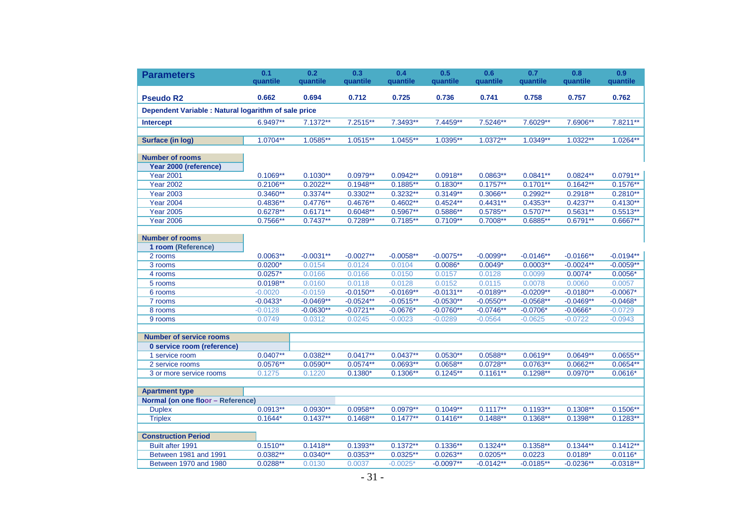| <b>Parameters</b>                                    | 0.1<br>quantile | 0.2<br>quantile | 0.3<br>quantile | 0.4<br>quantile | 0.5<br>quantile | 0.6<br>quantile | 0.7<br>quantile | 0.8<br>quantile | 0.9<br>quantile |
|------------------------------------------------------|-----------------|-----------------|-----------------|-----------------|-----------------|-----------------|-----------------|-----------------|-----------------|
|                                                      |                 |                 |                 |                 |                 |                 |                 |                 |                 |
| <b>Pseudo R2</b>                                     | 0.662           | 0.694           | 0.712           | 0.725           | 0.736           | 0.741           | 0.758           | 0.757           | 0.762           |
| Dependent Variable : Natural logarithm of sale price |                 |                 |                 |                 |                 |                 |                 |                 |                 |
| <b>Intercept</b>                                     | 6.9497**        | 7.1372**        | 7.2515**        | 7.3493**        | 7.4459**        | 7.5246**        | 7.6029**        | 7.6906**        | 7.8211**        |
|                                                      |                 |                 |                 |                 |                 |                 |                 |                 |                 |
| <b>Surface (in log)</b>                              | 1.0704**        | 1.0585**        | $1.0515**$      | $1.0455**$      | 1.0395**        | $1.0372**$      | $1.0349**$      | $1.0322**$      | $1.0264**$      |
| <b>Number of rooms</b>                               |                 |                 |                 |                 |                 |                 |                 |                 |                 |
| Year 2000 (reference)                                |                 |                 |                 |                 |                 |                 |                 |                 |                 |
| <b>Year 2001</b>                                     | $0.1069**$      | $0.1030**$      | $0.0979**$      | $0.0942**$      | $0.0918**$      | $0.0863**$      | $0.0841**$      | $0.0824**$      | $0.0791**$      |
| <b>Year 2002</b>                                     | $0.2106**$      | $0.2022**$      | $0.1948**$      | $0.1885**$      | $0.1830**$      | $0.1757**$      | $0.1701**$      | $0.1642**$      | $0.1576**$      |
| <b>Year 2003</b>                                     | $0.3460**$      | $0.3374**$      | $0.3302**$      | $0.3232**$      | $0.3149**$      | $0.3066**$      | $0.2992**$      | $0.2918**$      | $0.2810**$      |
| <b>Year 2004</b>                                     | $0.4836**$      | $0.4776**$      | $0.4676**$      | $0.4602**$      | $0.4524**$      | $0.4431**$      | $0.4353**$      | $0.4237**$      | $0.4130**$      |
| <b>Year 2005</b>                                     | $0.6278**$      | $0.6171**$      | $0.6048**$      | $0.5967**$      | $0.5886**$      | $0.5785**$      | $0.5707**$      | $0.5631**$      | $0.5513**$      |
| <b>Year 2006</b>                                     | $0.7566**$      | $0.7437**$      | $0.7289**$      | $0.7185**$      | $0.7109**$      | $0.7008**$      | $0.6885**$      | $0.6791**$      | $0.6667**$      |
|                                                      |                 |                 |                 |                 |                 |                 |                 |                 |                 |
| <b>Number of rooms</b>                               |                 |                 |                 |                 |                 |                 |                 |                 |                 |
| 1 room (Reference)                                   |                 |                 |                 |                 |                 |                 |                 |                 |                 |
| 2 rooms                                              | $0.0063**$      | $-0.0031**$     | $-0.0027**$     | $-0.0058**$     | $-0.0075**$     | $-0.0099**$     | $-0.0146**$     | $-0.0166**$     | $-0.0194**$     |
| 3 rooms                                              | $0.0200*$       | 0.0154          | 0.0124          | 0.0104          | $0.0086*$       | $0.0049*$       | $0.0003**$      | $-0.0024**$     | $-0.0059**$     |
| 4 rooms                                              | $0.0257*$       | 0.0166          | 0.0166          | 0.0150          | 0.0157          | 0.0128          | 0.0099          | $0.0074*$       | $0.0056*$       |
| 5 rooms                                              | $0.0198**$      | 0.0160          | 0.0118          | 0.0128          | 0.0152          | 0.0115          | 0.0078          | 0.0060          | 0.0057          |
| 6 rooms                                              | $-0.0020$       | $-0.0159$       | $-0.0150**$     | $-0.0169**$     | $-0.0131**$     | $-0.0189**$     | $-0.0209**$     | $-0.0180**$     | $-0.0067*$      |
| 7 rooms                                              | $-0.0433*$      | $-0.0469**$     | $-0.0524**$     | $-0.0515**$     | $-0.0530**$     | $-0.0550**$     | $-0.0568**$     | $-0.0469**$     | $-0.0468*$      |
| 8 rooms                                              | $-0.0128$       | $-0.0630**$     | $-0.0721**$     | $-0.0676*$      | $-0.0760**$     | $-0.0746**$     | $-0.0706*$      | $-0.0666*$      | $-0.0729$       |
| 9 rooms                                              | 0.0749          | 0.0312          | 0.0245          | $-0.0023$       | $-0.0289$       | $-0.0564$       | $-0.0625$       | $-0.0722$       | $-0.0943$       |
|                                                      |                 |                 |                 |                 |                 |                 |                 |                 |                 |
| <b>Number of service rooms</b>                       |                 |                 |                 |                 |                 |                 |                 |                 |                 |
| 0 service room (reference)                           |                 |                 |                 |                 |                 |                 |                 |                 |                 |
| 1 service room                                       | $0.0407**$      | $0.0382**$      | $0.0417**$      | $0.0437**$      | $0.0530**$      | $0.0588**$      | $0.0619**$      | $0.0649**$      | $0.0655**$      |
| 2 service rooms                                      | $0.0576**$      | $0.0590**$      | $0.0574**$      | $0.0693**$      | $0.0658**$      | $0.0728**$      | $0.0763**$      | $0.0662**$      | $0.0654**$      |
| 3 or more service rooms                              | 0.1275          | 0.1220          | $0.1380*$       | $0.1306**$      | $0.1245**$      | $0.1161**$      | $0.1298**$      | $0.0970**$      | $0.0616*$       |
|                                                      |                 |                 |                 |                 |                 |                 |                 |                 |                 |
| <b>Apartment type</b>                                |                 |                 |                 |                 |                 |                 |                 |                 |                 |
| Normal (on one floor - Reference)                    |                 |                 |                 |                 |                 |                 |                 |                 |                 |
| <b>Duplex</b>                                        | $0.0913**$      | $0.0930**$      | $0.0958**$      | $0.0979**$      | $0.1049**$      | $0.1117**$      | $0.1193**$      | $0.1308**$      | $0.1506**$      |
| <b>Triplex</b>                                       | $0.1644*$       | $0.1437**$      | $0.1468**$      | $0.1477**$      | $0.1416**$      | $0.1488**$      | $0.1368**$      | $0.1398**$      | $0.1283**$      |
|                                                      |                 |                 |                 |                 |                 |                 |                 |                 |                 |
| <b>Construction Period</b>                           |                 |                 |                 |                 |                 |                 |                 |                 |                 |
| Built after 1991                                     | $0.1510**$      | $0.1418**$      | $0.1393**$      | $0.1372**$      | $0.1336**$      | $0.1324**$      | $0.1358**$      | $0.1344**$      | $0.1412**$      |
| Between 1981 and 1991                                | $0.0382**$      | $0.0340**$      | $0.0353**$      | $0.0325**$      | $0.0263**$      | $0.0205**$      | 0.0223          | $0.0189*$       | $0.0116*$       |
| Between 1970 and 1980                                | $0.0288**$      | 0.0130          | 0.0037          | $-0.0025*$      | $-0.0097**$     | $-0.0142**$     | $-0.0185**$     | $-0.0236**$     | $-0.0318**$     |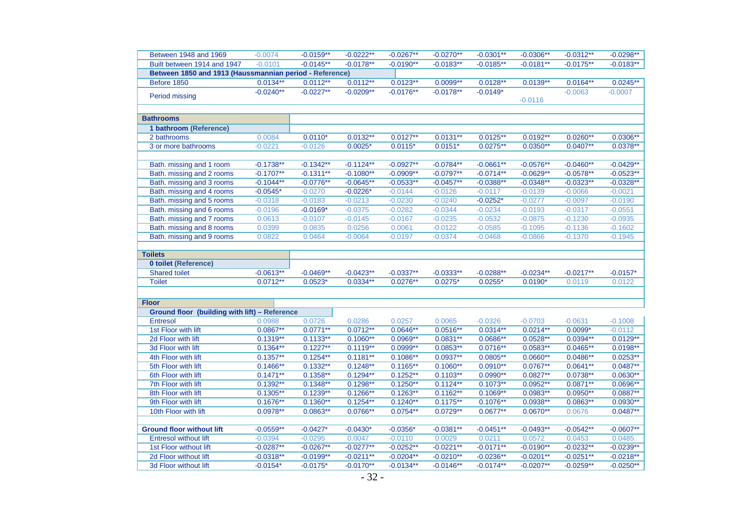| Between 1948 and 1969                                   | $-0.0074$   | $-0.0159**$ | $-0.0222**$ | $-0.0267**$ | $-0.0270**$ | $-0.0301**$ | $-0.0306**$ | $-0.0312**$ | $-0.0298**$ |
|---------------------------------------------------------|-------------|-------------|-------------|-------------|-------------|-------------|-------------|-------------|-------------|
| Built between 1914 and 1947                             | $-0.0101$   | $-0.0145**$ | $-0.0178**$ | $-0.0190**$ | $-0.0183**$ | $-0.0185**$ | $-0.0181**$ | $-0.0175**$ | $-0.0183**$ |
| Between 1850 and 1913 (Haussmannian period - Reference) |             |             |             |             |             |             |             |             |             |
| Before 1850                                             | $0.0134**$  | $0.0112**$  | $0.0112**$  | $0.0123**$  | $0.0099**$  | $0.0128**$  | $0.0139**$  | $0.0164**$  | $0.0245**$  |
| Period missing                                          | $-0.0240**$ | $-0.0227**$ | $-0.0209**$ | $-0.0176**$ | $-0.0178**$ | $-0.0149*$  | $-0.0116$   | $-0.0063$   | $-0.0007$   |
|                                                         |             |             |             |             |             |             |             |             |             |
| <b>Bathrooms</b>                                        |             |             |             |             |             |             |             |             |             |
| 1 bathroom (Reference)                                  |             |             |             |             |             |             |             |             |             |
| 2 bathrooms                                             | 0.0084      | $0.0110*$   | $0.0132**$  | $0.0127**$  | $0.0131***$ | $0.0125**$  | $0.0192**$  | $0.0260**$  | $0.0306**$  |
| 3 or more bathrooms                                     | $-0.0221$   | $-0.0126$   | $0.0025*$   | $0.0115*$   | $0.0151*$   | $0.0275**$  | $0.0350**$  | $0.0407**$  | $0.0378**$  |
|                                                         |             |             |             |             |             |             |             |             |             |
| Bath. missing and 1 room                                | $-0.1738**$ | $-0.1342**$ | $-0.1124**$ | $-0.0927**$ | $-0.0784**$ | $-0.0661**$ | $-0.0576**$ | $-0.0460**$ | $-0.0429**$ |
| Bath. missing and 2 rooms                               | $-0.1707**$ | $-0.1311**$ | $-0.1080**$ | $-0.0909**$ | $-0.0797**$ | $-0.0714**$ | $-0.0629**$ | $-0.0578**$ | $-0.0523**$ |
| Bath. missing and 3 rooms                               | $-0.1044**$ | $-0.0776**$ | $-0.0645**$ | $-0.0533**$ | $-0.0457**$ | $-0.0388**$ | $-0.0348**$ | $-0.0323**$ | $-0.0328**$ |
| Bath. missing and 4 rooms                               | $-0.0545*$  | $-0.0270$   | $-0.0226*$  | $-0.0144$   | $-0.0126$   | $-0.0117$   | $-0.0139$   | $-0.0066$   | $-0.0021$   |
| Bath. missing and 5 rooms                               | $-0.0318$   | $-0.0183$   | $-0.0213$   | $-0.0230$   | $-0.0240$   | $-0.0252*$  | $-0.0277$   | $-0.0097$   | $-0.0190$   |
| Bath. missing and 6 rooms                               | $-0.0196$   | $-0.0169*$  | $-0.0375$   | $-0.0282$   | $-0.0344$   | $-0.0234$   | $-0.0193$   | $-0.0317$   | $-0.0551$   |
| Bath. missing and 7 rooms                               | 0.0613      | $-0.0107$   | $-0.0145$   | $-0.0167$   | $-0.0235$   | $-0.0532$   | $-0.0875$   | $-0.1230$   | $-0.0935$   |
| Bath. missing and 8 rooms                               | 0.0399      | 0.0835      | 0.0256      | 0.0061      | $-0.0122$   | $-0.0585$   | $-0.1095$   | $-0.1136$   | $-0.1602$   |
| Bath. missing and 9 rooms                               | 0.0822      | 0.0464      | $-0.0064$   | $-0.0197$   | $-0.0374$   | $-0.0468$   | $-0.0866$   | $-0.1370$   | $-0.1945$   |
|                                                         |             |             |             |             |             |             |             |             |             |
| <b>Toilets</b>                                          |             |             |             |             |             |             |             |             |             |
| <b>0 toilet (Reference)</b>                             |             |             |             |             |             |             |             |             |             |
| <b>Shared toilet</b>                                    | $-0.0613**$ | $-0.0469**$ | $-0.0423**$ | $-0.0337**$ | $-0.0333**$ | $-0.0288**$ | $-0.0234**$ | $-0.0217**$ | $-0.0157*$  |
| <b>Toilet</b>                                           | $0.0712**$  | $0.0523*$   | $0.0334**$  | $0.0276**$  | $0.0275*$   | $0.0255*$   | $0.0190*$   | 0.0119      | 0.0122      |
|                                                         |             |             |             |             |             |             |             |             |             |
| <b>Floor</b>                                            |             |             |             |             |             |             |             |             |             |
| <b>Ground floor (building with lift) - Reference</b>    |             |             |             |             |             |             |             |             |             |
| <b>Entresol</b>                                         | 0.0988      | 0.0726      | 0.0286      | 0.0257      | 0.0065      | $-0.0326$   | $-0.0703$   | $-0.0631$   | $-0.1008$   |
| 1st Floor with lift                                     | $0.0867**$  | $0.0771***$ | $0.0712**$  | $0.0646**$  | $0.0516**$  | $0.0314**$  | $0.0214**$  | $0.0099*$   | $-0.0112$   |
| 2d Floor with lift                                      | $0.1319**$  | $0.1133**$  | $0.1060**$  | $0.0969**$  | $0.0831***$ | $0.0686**$  | $0.0528**$  | $0.0394**$  | $0.0129**$  |
| 3d Floor with lift                                      | $0.1364**$  | $0.1227**$  | $0.1119**$  | $0.0999**$  | $0.0853**$  | $0.0716***$ | $0.0583**$  | $0.0465***$ | $0.0198**$  |
| 4th Floor with lift                                     | $0.1357**$  | $0.1254**$  | $0.1181**$  | $0.1086**$  | $0.0937**$  | $0.0805**$  | $0.0660**$  | $0.0486**$  | $0.0253**$  |
| 5th Floor with lift                                     | $0.1466**$  | $0.1332**$  | $0.1248**$  | $0.1165**$  | $0.1060**$  | $0.0910**$  | $0.0767**$  | $0.0641**$  | $0.0487**$  |
| 6th Floor with lift                                     | $0.1471***$ | $0.1358**$  | $0.1294**$  | $0.1252**$  | $0.1103**$  | $0.0990**$  | $0.0827**$  | $0.0738**$  | $0.0630**$  |
| 7th Floor with lift                                     | $0.1392**$  | $0.1348**$  | $0.1298**$  | $0.1250**$  | $0.1124**$  | $0.1073**$  | $0.0952**$  | $0.0871**$  | $0.0696**$  |
| 8th Floor with lift                                     | $0.1305***$ | $0.1239**$  | $0.1266**$  | $0.1263**$  | $0.1162**$  | $0.1069**$  | $0.0983**$  | $0.0950**$  | $0.0887**$  |
| 9th Floor with lift                                     | $0.1676**$  | $0.1360**$  | $0.1254**$  | $0.1240**$  | $0.1175***$ | $0.1076**$  | $0.0938**$  | $0.0863**$  | $0.0930**$  |
| 10th Floor with lift                                    | $0.0978**$  | $0.0863**$  | $0.0766**$  | $0.0754**$  | $0.0729**$  | $0.0677**$  | $0.0670**$  | 0.0676      | $0.0487**$  |
|                                                         |             |             |             |             |             |             |             |             |             |
| <b>Ground floor without lift</b>                        | $-0.0559**$ | $-0.0427*$  | $-0.0430*$  | $-0.0356*$  | $-0.0381**$ | $-0.0451**$ | $-0.0493**$ | $-0.0542**$ | $-0.0607**$ |
| <b>Entresol without lift</b>                            | $-0.0394$   | $-0.0295$   | 0.0047      | $-0.0110$   | 0.0029      | 0.0211      | 0.0572      | 0.0453      | 0.0485      |
| 1st Floor without lift                                  | $-0.0287**$ | $-0.0267**$ | $-0.0277**$ | $-0.0252**$ | $-0.0221**$ | $-0.0171**$ | $-0.0190**$ | $-0.0232**$ | $-0.0239**$ |
| 2d Floor without lift                                   | $-0.0318**$ | $-0.0199**$ | $-0.0211**$ | $-0.0204**$ | $-0.0210**$ | $-0.0236**$ | $-0.0201**$ | $-0.0251**$ | $-0.0218**$ |
|                                                         |             | $-0.0175*$  | $-0.0170**$ | $-0.0134**$ | $-0.0146**$ | $-0.0174**$ | $-0.0207**$ | $-0.0259**$ | $-0.0250**$ |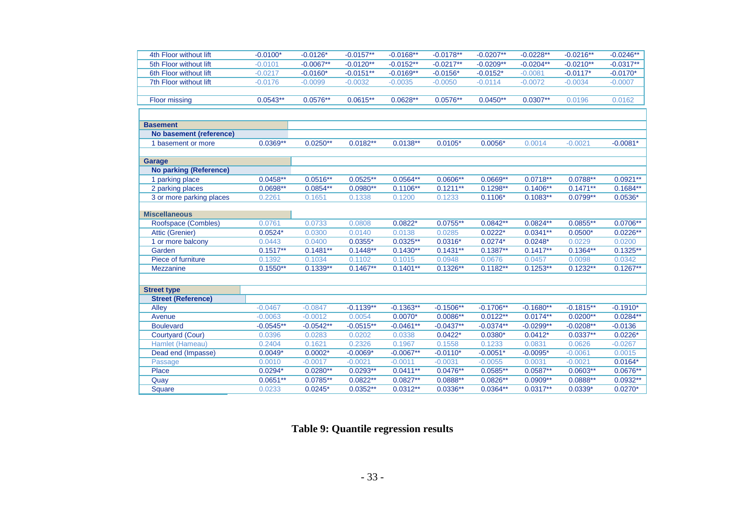| 4th Floor without lift        | $-0.0100*$  | $-0.0126*$  | $-0.0157**$ | $-0.0168**$ | $-0.0178**$ | $-0.0207**$          | $-0.0228**$ | $-0.0216**$          | $-0.0246**$          |
|-------------------------------|-------------|-------------|-------------|-------------|-------------|----------------------|-------------|----------------------|----------------------|
| 5th Floor without lift        | $-0.0101$   | $-0.0067**$ | $-0.0120**$ | $-0.0152**$ | $-0.0217**$ | $-0.0209**$          | $-0.0204**$ | $-0.0210**$          | $-0.0317**$          |
| 6th Floor without lift        | $-0.0217$   | $-0.0160*$  | $-0.0151**$ | $-0.0169**$ | $-0.0156*$  | $-0.0152*$           | $-0.0081$   | $-0.0117*$           | $-0.0170*$           |
| 7th Floor without lift        | $-0.0176$   | $-0.0099$   | $-0.0032$   | $-0.0035$   | $-0.0050$   | $-0.0114$            | $-0.0072$   | $-0.0034$            | $-0.0007$            |
|                               |             |             |             |             |             |                      |             |                      |                      |
| <b>Floor missing</b>          | $0.0543**$  | $0.0576**$  | $0.0615**$  | $0.0628**$  | $0.0576**$  | $0.0450**$           | $0.0307**$  | 0.0196               | 0.0162               |
|                               |             |             |             |             |             |                      |             |                      |                      |
|                               |             |             |             |             |             |                      |             |                      |                      |
| <b>Basement</b>               |             |             |             |             |             |                      |             |                      |                      |
| No basement (reference)       |             |             |             |             |             |                      |             |                      |                      |
| 1 basement or more            | $0.0369**$  | $0.0250**$  | $0.0182**$  | $0.0138**$  | $0.0105*$   | $0.0056*$            | 0.0014      | $-0.0021$            | $-0.0081*$           |
|                               |             |             |             |             |             |                      |             |                      |                      |
| <b>Garage</b>                 |             |             |             |             |             |                      |             |                      |                      |
| <b>No parking (Reference)</b> |             |             |             |             |             |                      |             |                      |                      |
| 1 parking place               | $0.0458**$  | $0.0516**$  | $0.0525**$  | $0.0564**$  | $0.0606**$  | $0.0669**$           | $0.0718**$  | $0.0788**$           | $0.0921**$           |
| 2 parking places              | $0.0698**$  | $0.0854**$  | $0.0980**$  | $0.1106**$  | $0.1211**$  | $0.1298**$           | $0.1406**$  | $0.1471**$           | $0.1684**$           |
| 3 or more parking places      | 0.2261      | 0.1651      | 0.1338      | 0.1200      | 0.1233      | $0.1106*$            | $0.1083**$  | $0.0799**$           | $0.0536*$            |
|                               |             |             |             |             |             |                      |             |                      |                      |
| <b>Miscellaneous</b>          |             |             |             |             |             |                      |             |                      |                      |
| Roofspace (Combles)           | 0.0761      | 0.0733      | 0.0808      | $0.0822*$   | $0.0755**$  | $0.0842**$           | $0.0824**$  | $0.0855**$           | $0.0706**$           |
| Attic (Grenier)               | $0.0524*$   | 0.0300      | 0.0140      | 0.0138      | 0.0285      | $0.0222*$            | $0.0341**$  | $0.0500*$            | $0.0226**$           |
| 1 or more balcony             | 0.0443      | 0.0400      | $0.0355*$   | $0.0325**$  | $0.0316*$   | $0.0274*$            | $0.0248*$   | 0.0229               | 0.0200               |
| Garden                        | $0.1517**$  | $0.1481**$  | $0.1448**$  | $0.1430**$  | $0.1431**$  | $0.1387**$           | $0.1417**$  | $0.1364**$           | $0.1325**$           |
| Piece of furniture            | 0.1392      | 0.1034      | 0.1102      | 0.1015      | 0.0948      | 0.0676<br>$0.1182**$ | 0.0457      | 0.0098<br>$0.1232**$ | 0.0342<br>$0.1267**$ |
| <b>Mezzanine</b>              | $0.1550**$  | $0.1339**$  | $0.1467**$  | $0.1401**$  | $0.1326**$  |                      | $0.1253**$  |                      |                      |
|                               |             |             |             |             |             |                      |             |                      |                      |
| <b>Street type</b>            |             |             |             |             |             |                      |             |                      |                      |
| <b>Street (Reference)</b>     |             |             |             |             |             |                      |             |                      |                      |
| <b>Alley</b>                  | $-0.0467$   | $-0.0847$   | $-0.1139**$ | $-0.1363**$ | $-0.1506**$ | $-0.1706**$          | $-0.1680**$ | $-0.1815**$          | $-0.1910*$           |
| Avenue                        | $-0.0063$   | $-0.0012$   | 0.0054      | $0.0070*$   | $0.0086**$  | $0.0122**$           | $0.0174**$  | $0.0200**$           | $0.0284**$           |
| <b>Boulevard</b>              | $-0.0545**$ | $-0.0542**$ | $-0.0515**$ | $-0.0461**$ | $-0.0437**$ | $-0.0374**$          | $-0.0299**$ | $-0.0208**$          | $-0.0136$            |
| Courtyard (Cour)              | 0.0396      | 0.0283      | 0.0202      | 0.0338      | $0.0422*$   | $0.0380*$            | $0.0412*$   | $0.0337**$           | $0.0226*$            |
| Hamlet (Hameau)               | 0.2404      | 0.1621      | 0.2326      | 0.1967      | 0.1558      | 0.1233               | 0.0831      | 0.0626               | $-0.0267$            |
| Dead end (Impasse)            | $0.0049*$   | $0.0002*$   | $-0.0069*$  | $-0.0067**$ | $-0.0110*$  | $-0.0051*$           | $-0.0095*$  | $-0.0061$            | 0.0015               |
| Passage                       | 0.0010      | $-0.0017$   | $-0.0021$   | $-0.0011$   | $-0.0031$   | $-0.0055$            | 0.0031      | $-0.0021$            | $0.0164*$            |
| Place                         | $0.0294*$   | $0.0280**$  | $0.0293**$  | $0.0411**$  | $0.0476**$  | $0.0585**$           | $0.0587**$  | $0.0603**$           | $0.0676**$           |
| Quay                          | $0.0651**$  | $0.0785**$  | $0.0822**$  | $0.0827**$  | $0.0888**$  | $0.0826**$           | $0.0909**$  | $0.0888**$           | $0.0932**$           |
| <b>Square</b>                 | 0.0233      | $0.0245*$   | $0.0352**$  | $0.0312**$  | $0.0336**$  | $0.0364**$           | $0.0317**$  | $0.0339*$            | $0.0270*$            |

**Table 9: Quantile regression results**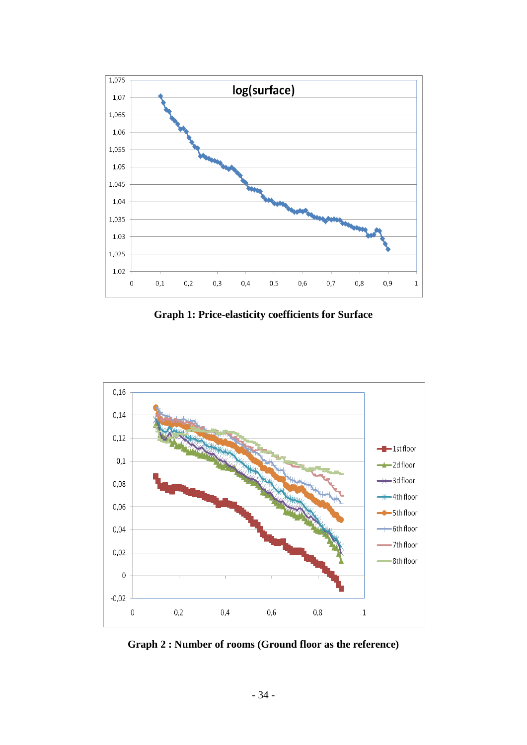

**Graph 1: Price-elasticity coefficients for Surface**



**Graph 2 : Number of rooms (Ground floor as the reference)**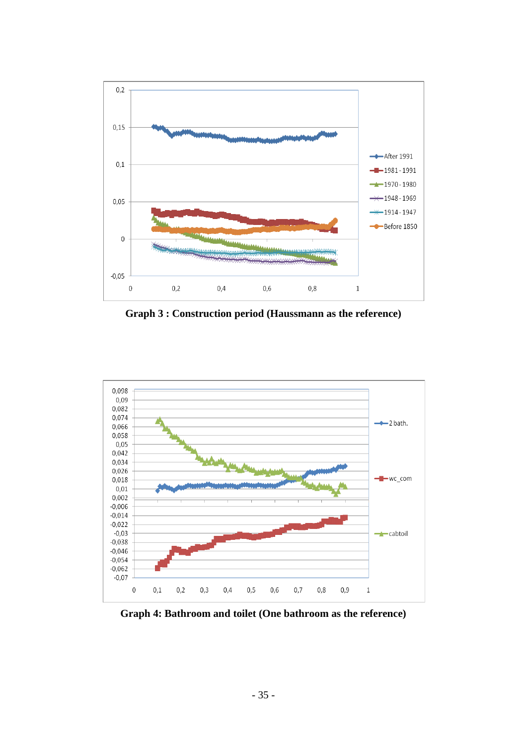

**Graph 3 : Construction period (Haussmann as the reference)**



**Graph 4: Bathroom and toilet (One bathroom as the reference)**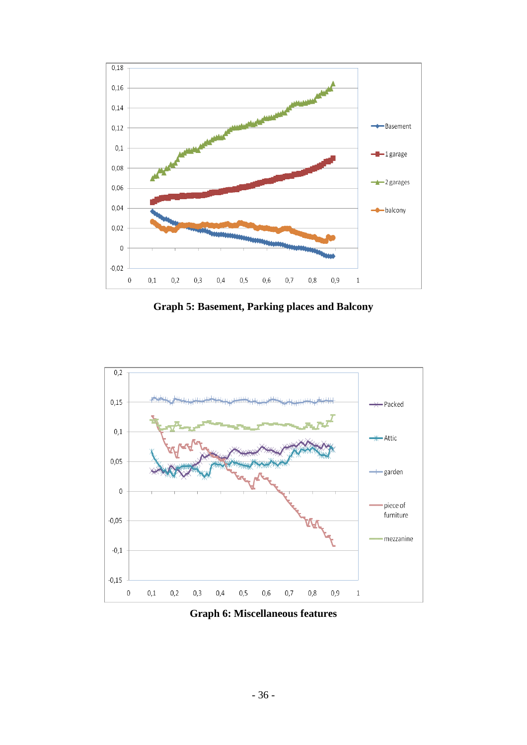

**Graph 5: Basement, Parking places and Balcony**



**Graph 6: Miscellaneous features**